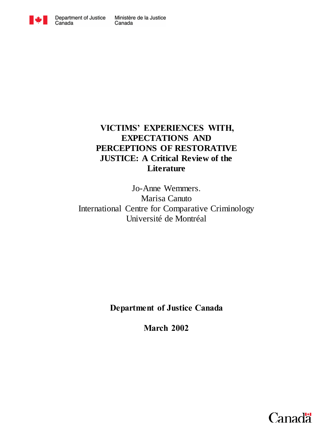

## **VICTIMS' EXPERIENCES WITH, EXPECTATIONS AND PERCEPTIONS OF RESTORATIVE JUSTICE: A Critical Review of the Literature**

Jo-Anne Wemmers. Marisa Canuto International Centre for Comparative Criminology Université de Montréal

**Department of Justice Canada** 

**March 2002**

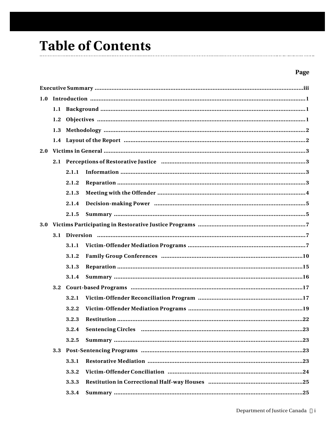## **Table of Contents**  $\mathbf{r}$

## Page

| 1.0 |     |       |                                                                                                                |  |  |  |  |
|-----|-----|-------|----------------------------------------------------------------------------------------------------------------|--|--|--|--|
|     |     |       |                                                                                                                |  |  |  |  |
|     | 1.2 |       |                                                                                                                |  |  |  |  |
|     |     |       |                                                                                                                |  |  |  |  |
|     |     |       |                                                                                                                |  |  |  |  |
| 2.0 |     |       |                                                                                                                |  |  |  |  |
|     |     |       |                                                                                                                |  |  |  |  |
|     |     | 2.1.1 |                                                                                                                |  |  |  |  |
|     |     | 2.1.2 |                                                                                                                |  |  |  |  |
|     |     | 2.1.3 |                                                                                                                |  |  |  |  |
|     |     | 2.1.4 |                                                                                                                |  |  |  |  |
|     |     | 2.1.5 |                                                                                                                |  |  |  |  |
| 3.0 |     |       |                                                                                                                |  |  |  |  |
|     |     |       |                                                                                                                |  |  |  |  |
|     |     | 3.1.1 |                                                                                                                |  |  |  |  |
|     |     | 3.1.2 |                                                                                                                |  |  |  |  |
|     |     | 3.1.3 |                                                                                                                |  |  |  |  |
|     |     | 3.1.4 |                                                                                                                |  |  |  |  |
|     | 3.2 |       |                                                                                                                |  |  |  |  |
|     |     | 3.2.1 |                                                                                                                |  |  |  |  |
|     |     | 3.2.2 |                                                                                                                |  |  |  |  |
|     |     | 3.2.3 |                                                                                                                |  |  |  |  |
|     |     | 3.2.4 | Sentencing Circles manual manual contract and the contract of the sense of the sense of the sense of the sense |  |  |  |  |
|     |     | 3.2.5 |                                                                                                                |  |  |  |  |
|     | 3.3 |       |                                                                                                                |  |  |  |  |
|     |     | 3.3.1 |                                                                                                                |  |  |  |  |
|     |     | 3.3.2 |                                                                                                                |  |  |  |  |
|     |     | 3.3.3 |                                                                                                                |  |  |  |  |
|     |     | 3.3.4 |                                                                                                                |  |  |  |  |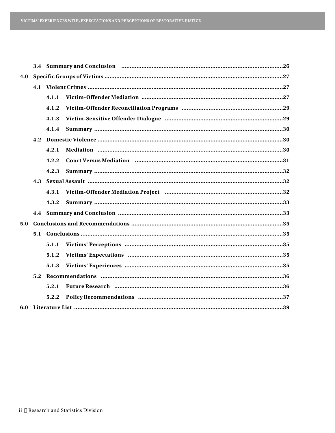| 4.0 |     |       |                                                                    |  |  |  |
|-----|-----|-------|--------------------------------------------------------------------|--|--|--|
|     |     |       |                                                                    |  |  |  |
|     |     | 4.1.1 |                                                                    |  |  |  |
|     |     | 4.1.2 |                                                                    |  |  |  |
|     |     | 4.1.3 |                                                                    |  |  |  |
|     |     | 4.1.4 |                                                                    |  |  |  |
|     |     |       |                                                                    |  |  |  |
|     |     | 4.2.1 |                                                                    |  |  |  |
|     |     | 4.2.2 |                                                                    |  |  |  |
|     |     | 4.2.3 |                                                                    |  |  |  |
|     | 4.3 |       |                                                                    |  |  |  |
|     |     | 4.3.1 |                                                                    |  |  |  |
|     |     | 4.3.2 |                                                                    |  |  |  |
|     |     |       |                                                                    |  |  |  |
| 5.0 |     |       |                                                                    |  |  |  |
|     | 5.1 |       |                                                                    |  |  |  |
|     |     | 5.1.1 |                                                                    |  |  |  |
|     |     | 5.1.2 |                                                                    |  |  |  |
|     |     | 5.1.3 |                                                                    |  |  |  |
|     | 5.2 |       |                                                                    |  |  |  |
|     |     | 5.2.1 | Future Research minimum minimum minimum minimum minimum minimum 36 |  |  |  |
|     |     | 5.2.2 |                                                                    |  |  |  |
|     |     |       |                                                                    |  |  |  |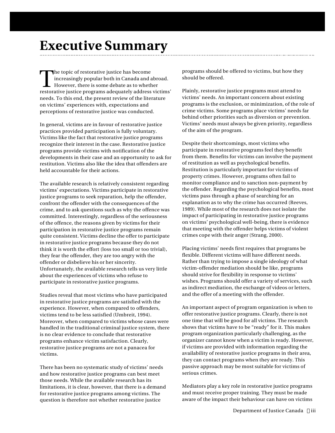## **Executive Summary**

The topic of restorative justice has become<br>increasingly popular both in Canada and abroad.<br>However, there is some debate as to whether<br>restorative justice programs adequately address victims' The topic of restorative justice has become increasingly popular both in Canada and abroad. However, there is some debate as to whether needs. To this end, the present review of the literature on victims' experiences with, expectations and perceptions of restorative justice was conducted.

In general, victims are in favour of restorative justice practices provided participation is fully voluntary. Victims like the fact that restorative justice programs recognize their interest in the case. Restorative justice programs provide victims with notification of the developments in their case and an opportunity to ask for restitution. Victims also like the idea that offenders are held accountable for their actions.

The available research is relatively consistent regarding victims' expectations. Victims participate in restorative justice programs to seek reparation, help the offender, confront the offender with the consequences of the crime, and to ask questions such as why the offence was committed. Interestingly, regardless of the seriousness of the offence, the reasons given by victims for their participation in restorative justice programs remain quite consistent. Victims decline the offer to participate in restorative justice programs because they do not think it is worth the effort (loss too small or too trivial), they fear the offender, they are too angry with the offender or disbelieve his or her sincerity. Unfortunately, the available research tells us very little about the experiences of victims who refuse to participate in restorative justice programs.

Studies reveal that most victims who have participated in restorative justice programs are satisfied with the experience. However, when compared to offenders, victims tend to be less satisfied (Umbreit, 1994). Moreover, when compared to victims whose cases were handled in the traditional criminal justice system, there is no clear evidence to conclude that restorative programs enhance victim satisfaction. Clearly, restorative justice programs are not a panacea for victims.

There has been no systematic study of victims' needs and how restorative justice programs can best meet those needs. While the available research has its limitations, it is clear, however, that there is a demand for restorative justice programs among victims. The question is therefore not whether restorative justice

programs should be offered to victims, but how they should be offered.

Plainly, restorative justice programs must attend to victims' needs. An important concern about existing programs is the exclusion, or minimization, of the role of crime victims. Some programs place victims' needs far behind other priorities such as diversion or prevention. Victims' needs must always be given priority, regardless of the aim of the program.

Despite their shortcomings, most victims who participate in restorative programs feel they benefit from them. Benefits for victims can involve the payment of restitution as well as psychological benefits. Restitution is particularly important for victims of property crimes. However, programs often fail to monitor compliance and to sanction non-payment by the offender. Regarding the psychological benefits, most victims pass through a phase of searching for an explanation as to why the crime has occurred (Reeves, 1989). While most of the research does not isolate the impact of participating in restorative justice programs on victims' psychological well-being, there is evidence that meeting with the offender helps victims of violent crimes cope with their anger (Strang, 2000).

Placing victims' needs first requires that programs be flexible. Different victims will have different needs. Rather than trying to impose a single ideology of what victim-offender mediation should be like, programs should strive for flexibility in response to victims' wishes. Programs should offer a variety of services, such as indirect mediation, the exchange of videos or letters, and the offer of a meeting with the offender.

An important aspect of program organization is when to offer restorative justice programs. Clearly, there is not one time that will be good for all victims. The research shows that victims have to be "ready" for it. This makes program organization particularly challenging, as the organizer cannot know when a victim is ready. However, if victims are provided with information regarding the availability of restorative justice programs in their area, they can contact programs when they are ready. This passive approach may be most suitable for victims of serious crimes.

Mediators play a key role in restorative justice programs and must receive proper training. They must be made aware of the impact their behaviour can have on victims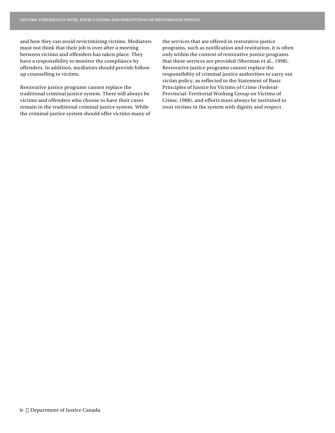and how they can avoid revictimizing victims. Mediators must not think that their job is over after a meeting between victims and offenders has taken place. They have a responsibility to monitor the compliance by offenders. In addition, mediators should provide followup counselling to victims.

Restorative justice programs cannot replace the traditional criminal justice system. There will always be victims and offenders who choose to have their cases remain in the traditional criminal justice system. While the criminal justice system should offer victims many of

the services that are offered in restorative justice programs, such as notification and restitution, it is often only within the context of restorative justice programs that these services are provided (Sherman et al., 1998). Restorative justice programs cannot replace the responsibility of criminal justice authorities to carry out victim policy, as reflected in the Statement of Basic Principles of Justice for Victims of Crime (Federal-Provincial-Territorial Working Group on Victims of Crime, 1988), and efforts must always be instituted to treat victims in the system with dignity and respect.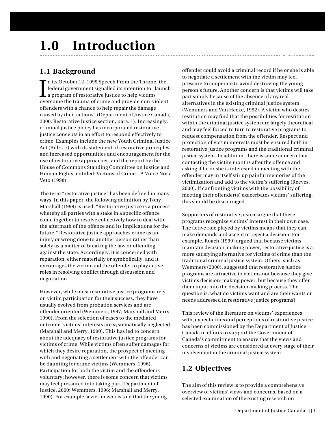# **1.0 Introduction**

## **1.1 Background**

I In its October 12, 1999 Speech From the Throne, the federal government signalled its intention to "launch a program of restorative justice to help victims overcome the trauma of crime and provide non-violent offenders with a chance to help repair the damage caused by their actions" (Department of Justice Canada, 2000: Restorative Justice section, para. 1). Increasingly, criminal justice policy has incorporated restorative justice concepts in an effort to respond effectively to crime. Examples include the new Youth Criminal Justice Act (Bill C-7) with its statement of restorative principles and increased opportunities and encouragement for the use of restorative approaches, and the report by the House of Commons Standing Committee on Justice and Human Rights, entitled: Victims of Crime – A Voice Not a Veto (1998).

The term "restorative justice" has been defined in many ways. In this paper, the following definition by Tony Marshall (1999) is used: "Restorative Justice is a process whereby all parties with a stake in a specific offence come together to resolve collectively how to deal with the aftermath of the offence and its implications for the future." Restorative justice approaches crime as an injury or wrong done to another person rather than solely as a matter of breaking the law or offending against the state. Accordingly, it is concerned with reparation, either materially or symbolically, and it encourages the victim and the offender to play active roles in resolving conflict through discussion and negotiation.

However, while most restorative justice programs rely on victim participation for their success, they have usually evolved from probation services and are offender oriented (Wemmers, 1997; Marshall and Merry, 1990). From the selection of cases to the mediated outcome, victims' interests are systematically neglected (Marshall and Merry, 1990). This has led to concern about the adequacy of restorative justice programs for victims of crime. While victims often suffer damages for which they desire reparation, the prospect of meeting with and negotiating a settlement with the offender can be daunting for crime victims (Wemmers, 1996). Participation for both the victim and the offender is voluntary; however, there is some concern that victims may feel pressured into taking part (Department of Justice, 2000; Wemmers, 1996; Marshall and Merry, 1990). For example, a victim who is told that the young

offender could avoid a criminal record if he or she is able to negotiate a settlement with the victim may feel pressure to cooperate to avoid destroying the young person's future. Another concern is that victims will take part simply because of the absence of any real alternatives in the existing criminal justice system (Wemmers and Van Hecke, 1992). A victim who desires restitution may find that the possibilities for restitution within the criminal justice system are largely theoretical and may feel forced to turn to restorative programs to request compensation from the offender. Respect and protection of victim interests must be ensured both in restorative justice programs and the traditional criminal justice system. In addition, there is some concern that contacting the victim months after the offence and asking if he or she is interested in meeting with the offender may in itself stir up painful memories of the victimization and add to the victim's suffering (Reeves, 2000). If confronting victims with the possibility of meeting their offender(s) exacerbates victims' suffering, this should be discouraged.

Supporters of restorative justice argue that these programs recognize victims' interest in their own case. The active role played by victims means that they can make demands and accept or reject a decision. For example, Roach (1999) argued that because victims maintain decision-making power, restorative justice is a more satisfying alternative for victims of crime than the traditional criminal justice system. Others, such as Wemmers (2000), suggested that restorative justice programs are attractive to victims not because they give victims decision-making power, but because they offer them input into the decision-making process. The question is, what do victims want and are their wants or needs addressed in restorative justice programs?

This review of the literature on victims' experiences with, expectations and perceptions of restorative justice has been commissioned by the Department of Justice Canada in efforts to support the Government of Canada's commitment to ensure that the views and concerns of victims are considered at every stage of their involvement in the criminal justice system.

## **1.2 Objectives**

The aim of this review is to provide a comprehensive overview of victims' views and concerns, based on a selected examination of the existing research on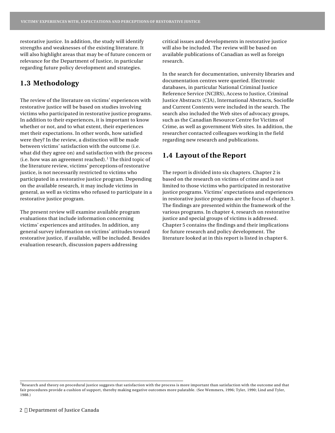restorative justice. In addition, the study will identify strengths and weaknesses of the existing literature. It will also highlight areas that may be of future concern or relevance for the Department of Justice, in particular regarding future policy development and strategies.

## **1.3 Methodology**

The review of the literature on victims' experiences with restorative justice will be based on studies involving victims who participated in restorative justice programs. In addition to their experiences, it is important to know whether or not, and to what extent, their experiences met their expectations. In other words, how satisfied were they? In the review, a distinction will be made between victims' satisfaction with the outcome (i.e. what did they agree on) and satisfaction with the process (i.e. how was an agreement reached). <sup>1</sup> The third topic of the literature review, victims' perceptions of restorative justice, is not necessarily restricted to victims who participated in a restorative justice program. Depending on the available research, it may include victims in general, as well as victims who refused to participate in a restorative justice program.

The present review will examine available program evaluations that include information concerning victims' experiences and attitudes. In addition, any general survey information on victims' attitudes toward restorative justice, if available, will be included. Besides evaluation research, discussion papers addressing

critical issues and developments in restorative justice will also be included. The review will be based on available publications of Canadian as well as foreign research.

In the search for documentation, university libraries and documentation centres were queried. Electronic databases, in particular National Criminal Justice Reference Service (NCJRS), Access to Justice, Criminal Justice Abstracts (CJA), International Abstracts, Sociofile and Current Contents were included in the search. The search also included the Web sites of advocacy groups, such as the Canadian Resource Centre for Victims of Crime, as well as government Web sites. In addition, the researcher contacted colleagues working in the field regarding new research and publications.

## **1.4 Layout of the Report**

The report is divided into six chapters. Chapter 2 is based on the research on victims of crime and is not limited to those victims who participated in restorative justice programs. Victims' expectations and experiences in restorative justice programs are the focus of chapter 3. The findings are presented within the framework of the various programs. In chapter 4, research on restorative justice and special groups of victims is addressed. Chapter 5 contains the findings and their implications for future research and policy development. The literature looked at in this report is listed in chapter 6.

<sup>&</sup>lt;sup>1</sup>Research and theory on procedural justice suggests that satisfaction with the process is more important than satisfaction with the outcome and that fair procedures provide a cushion of support, thereby making negative outcomes more palatable. (See Wemmers, 1996; Tyler, 1990; Lind and Tyler, 1988.)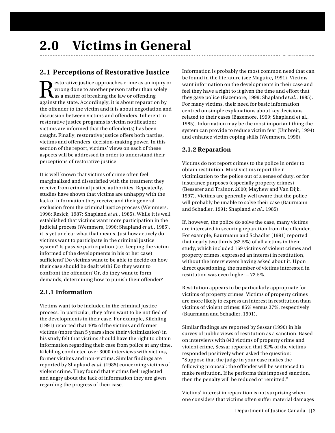## **2.1 Perceptions of Restorative Justice**

Restorative justice approaches crime as an injury<br>
as a matter of breaking the law or offending<br>
against the state. Accordingly, it is about reparation by estorative justice approaches crime as an injury or wrong done to another person rather than solely Las a matter of breaking the law or offending the offender to the victim and it is about negotiation and discussion between victims and offenders. Inherent in restorative justice programs is victim notification; victims are informed that the offender(s) has been caught. Finally, restorative justice offers both parties, victims and offenders, decision-making power. In this section of the report, victims' views on each of these aspects will be addressed in order to understand their perceptions of restorative justice.

It is well known that victims of crime often feel marginalized and dissatisfied with the treatment they receive from criminal justice authorities. Repeatedly, studies have shown that victims are unhappy with the lack of information they receive and their general exclusion from the criminal justice process (Wemmers, 1996; Resick, 1987; Shapland *et al.*, 1985). While it is well established that victims want more participation in the judicial process (Wemmers, 1996; Shapland *et al.*, 1985), it is yet unclear what that means. Just how actively do victims want to participate in the criminal justice system? Is passive participation (i.e. keeping the victim informed of the developments in his or her case) sufficient? Do victims want to be able to decide on how their case should be dealt with? Do they want to confront the offender? Or, do they want to form demands, determining how to punish their offender?

## **2.1.1 Information**

Victims want to be included in the criminal justice process. In particular, they often want to be notified of the developments in their case. For example, Kilchling (1991) reported that 40% of the victims and former victims (more than 5 years since their victimization) in his study felt that victims should have the right to obtain information regarding their case from police at any time. Kilchling conducted over 3000 interviews with victims, former victims and non-victims. Similar findings are reported by Shapland *et al.* (1985) concerning victims of violent crime. They found that victims feel neglected and angry about the lack of information they are given regarding the progress of their case.

Information is probably the most common need that can be found in the literature (see Maguire, 1991). Victims want information on the developments in their case and feel they have a right to it given the time and effort that they gave police (Bazemore, 1999; Shapland *et al.*, 1985). For many victims, their need for basic information centred on simple explanations about key decisions related to their cases (Bazemore, 1999; Shapland et al., 1985). Information may be the most important thing the system can provide to reduce victim fear (Umbreit, 1994) and enhance victim coping skills (Wemmers, 1996).

## **2.1.2 Reparation**

Victims do not report crimes to the police in order to obtain restitution. Most victims report their victimization to the police out of a sense of duty, or for insurance purposes (especially property crimes) (Besserer and Trainor, 2000; Mayhew and Van Dijk, 1997). Victims are generally well aware that the police will probably be unable to solve their case (Baurmann and Schadler, 1991; Shapland *et al.*, 1985).

If, however, the police do solve the case, many victims are interested in securing reparation from the offender. For example, Baurmann and Schadler (1991) reported that nearly two thirds (62.5%) of all victims in their study, which included 169 victims of violent crimes and property crimes, expressed an interest in restitution, without the interviewers having asked about it. Upon direct questioning, the number of victims interested in restitution was even higher – 72.5%.

Restitution appears to be particularly appropriate for victims of property crimes. Victims of property crimes are more likely to express an interest in restitution than victims of violent crimes: 85% versus 37%, respectively (Baurmann and Schadler, 1991).

Similar findings are reported by Sessar (1990) in his survey of public views of restitution as a sanction. Based on interviews with 843 victims of property crime and violent crime, Sessar reported that 82% of the victims responded positively when asked the question: "Suppose that the judge in your case makes the following proposal: the offender will be sentenced to make restitution. If he performs this imposed sanction, then the penalty will be reduced or remitted."

Victims' interest in reparation is not surprising when one considers that victims often suffer material damages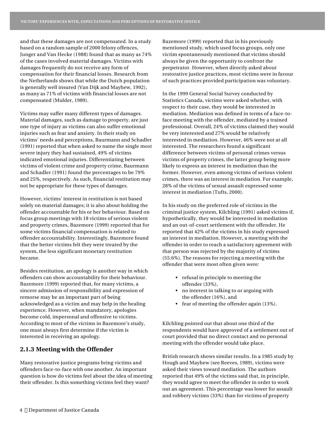and that these damages are not compensated. In a study based on a random sample of 2000 felony offences, Junger and Van Hecke (1988) found that as many as 74% of the cases involved material damages. Victims with damages frequently do not receive any form of compensation for their financial losses. Research from the Netherlands shows that while the Dutch population is generally well insured (Van Dijk and Mayhew, 1992), as many as 71% of victims with financial losses are not compensated (Mulder, 1989).

Victims may suffer many different types of damages. Material damages, such as damage to property, are just one type of injury as victims can also suffer emotional injuries such as fear and anxiety. In their study on victims' needs and perceptions, Baurmann and Schadler (1991) reported that when asked to name the single most severe injury they had sustained, 49% of victims indicated emotional injuries. Differentiating between victims of violent crime and property crime, Baurmann and Schadler (1991) found the percentages to be 79% and 25%, respectively. As such, financial restitution may not be appropriate for these types of damages.

However, victims' interest in restitution is not based solely on material damages; it is also about holding the offender accountable for his or her behaviour. Based on focus group meetings with 18 victims of serious violent and property crimes, Bazemore (1999) reported that for some victims financial compensation is related to offender accountability. Interestingly, Bazemore found that the better victims felt they were treated by the system, the less significant monetary restitution became.

Besides restitution, an apology is another way in which offenders can show accountability for their behaviour. Bazemore (1999) reported that, for many victims, a sincere admission of responsibility and expression of remorse may be an important part of being acknowledged as a victim and may help in the healing experience. However, when mandatory, apologies become cold, impersonal and offensive to victims. According to most of the victims in Bazemore's study, one must always first determine if the victim is interested in receiving an apology.

## **2.1.3 Meeting with the Offender**

Many restorative justice programs bring victims and offenders face-to-face with one another. An important question is how do victims feel about the idea of meeting their offender. Is this something victims feel they want?

Bazemore (1999) reported that in his previously mentioned study, which used focus groups, only one victim spontaneously mentioned that victims should always be given the opportunity to confront the perpetrator. However, when directly asked about restorative justice practices, most victims were in favour of such practices provided participation was voluntary.

In the 1999 General Social Survey conducted by Statistics Canada, victims were asked whether, with respect to their case, they would be interested in mediation. Mediation was defined in terms of a face-toface meeting with the offender, mediated by a trained professional. Overall, 24% of victims claimed they would be very interested and 27% would be relatively interested in mediation. However, 46% were not at all interested. The researchers found a significant difference between victims of personal crimes versus victims of property crimes, the latter group being more likely to express an interest in mediation than the former. However, even among victims of serious violent crimes, there was an interest in mediation. For example, 28% of the victims of sexual assault expressed some interest in mediation (Tufts, 2000).

In his study on the preferred role of victims in the criminal justice system, Kilchling (1991) asked victims if, hypothetically, they would be interested in mediation and an out-of-court settlement with the offender. He reported that 42% of the victims in his study expressed an interest in mediation. However, a meeting with the offender in order to reach a satisfactory agreement with that person was rejected by the majority of victims (55.6%). The reasons for rejecting a meeting with the offender that were most often given were:

- refusal in principle to meeting the offender (33%),
- no interest in talking to or arguing with the offender (16%), and
- fear of meeting the offender again (13%).

Kilchling pointed out that about one third of the respondents would have approved of a settlement out of court provided that no direct contact and no personal meeting with the offender would take place.

British research shows similar results. In a 1985 study by Hough and Mayhew (see Reeves, 1989), victims were asked their views toward mediation. The authors reported that 49% of the victims said that, in principle, they would agree to meet the offender in order to work out an agreement. This percentage was lower for assault and robbery victims (33%) than for victims of property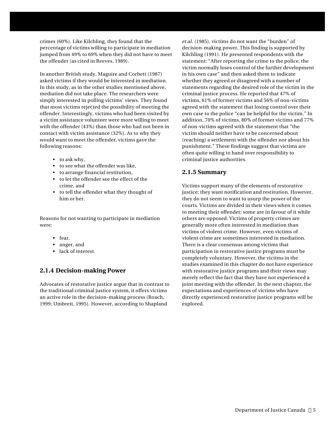crimes (60%). Like Kilchling, they found that the percentage of victims willing to participate in mediation jumped from 49% to 69% when they did not have to meet the offender (as cited in Reeves, 1989).

In another British study, Maguire and Corbett (1987) asked victims if they would be interested in mediation. In this study, as in the other studies mentioned above, mediation did not take place. The researchers were simply interested in polling victims' views. They found that most victims rejected the possibility of meeting the offender. Interestingly, victims who had been visited by a victim assistance volunteer were more willing to meet with the offender (43%) than those who had not been in contact with victim assistance (32%). As to why they would want to meet the offender, victims gave the following reasons:

- to ask why,
- to see what the offender was like,
- to arrange financial restitution,
- to let the offender see the effect of the crime, and
- to tell the offender what they thought of him or her.

Reasons for not wanting to participate in mediation were:

- fear,
- anger, and
- lack of interest.

## **2.1.4 Decision-making Power**

Advocates of restorative justice argue that in contrast to the traditional criminal justice system, it offers victims an active role in the decision-making process (Roach, 1999; Umbreit, 1995). However, according to Shapland

*et al.* (1985), victims do not want the "burden" of decision-making power. This finding is supported by Kilchling (1991). He presented respondents with the statement: "After reporting the crime to the police, the victim normally loses control of the further development in his own case" and then asked them to indicate whether they agreed or disagreed with a number of statements regarding the desired role of the victim in the criminal justice process. He reported that 47% of victims, 61% of former victims and 56% of non-victims agreed with the statement that losing control over their own case to the police "can be helpful for the victim." In addition, 70% of victims, 80% of former victims and 77% of non-victims agreed with the statement that "the victim should neither have to be concerned about (reaching) a settlement with the offender nor about his punishment." These findings suggest that victims are often quite willing to hand over responsibility to criminal justice authorities.

## **2.1.5 Summary**

Victims support many of the elements of restorative justice; they want notification and restitution. However, they do not seem to want to usurp the power of the courts. Victims are divided in their views when it comes to meeting their offender; some are in favour of it while others are opposed. Victims of property crimes are generally more often interested in mediation than victims of violent crime. However, even victims of violent crime are sometimes interested in mediation. There is a clear consensus among victims that participation in restorative justice programs must be completely voluntary. However, the victims in the studies examined in this chapter do not have experience with restorative justice programs and their views may merely reflect the fact that they have not experienced a joint meeting with the offender. In the next chapter, the expectations and experiences of victims who have directly experienced restorative justice programs will be explored.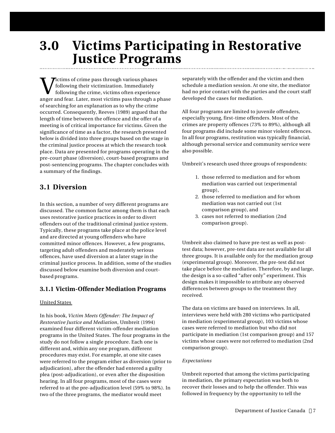## **3.0 Victims Participating in Restorative Justice Programs**

 $\begin{array}{c} \displaystyle\prod\limits_{\rm following\; their\; victimization.\; Immediately} \displaystyle\int\limits_{\rm following\;the\; crime,\;victims\;often\; experience} \displaystyle\int\limits_{\rm anger\;and\; fear.\;Later,\;most\;victims\;pass\;through\;a\;phase} \end{array}$ **Tictims of crime pass through various phases** following their victimization. Immediately following the crime, victims often experience of searching for an explanation as to why the crime occurred. Consequently, Reeves (1989) argued that the length of time between the offence and the offer of a meeting is of critical importance for victims. Given the significance of time as a factor, the research presented below is divided into three groups based on the stage in the criminal justice process at which the research took place. Data are presented for programs operating in the pre-court phase (diversion), court-based programs and post-sentencing programs. The chapter concludes with a summary of the findings.

## **3.1 Diversion**

In this section, a number of very different programs are discussed. The common factor among them is that each uses restorative justice practices in order to divert offenders out of the traditional criminal justice system. Typically, these programs take place at the police level and are directed at young offenders who have committed minor offences. However, a few programs, targeting adult offenders and moderately serious offences, have used diversion at a later stage in the criminal justice process. In addition, some of the studies discussed below examine both diversion and courtbased programs.

## **3.1.1 Victim-Offender Mediation Programs**

## United States

In his book, *Victim Meets Offender: The Impact of Restorative Justice and Mediation*, Umbreit (1994) examined four different victim-offender mediation programs in the United States. The four programs in the study do not follow a single procedure. Each one is different and, within any one program, different procedures may exist. For example, at one site cases were referred to the program either as diversion (prior to adjudication), after the offender had entered a guilty plea (post-adjudication), or even after the disposition hearing. In all four programs, most of the cases were referred to at the pre-adjudication level (59% to 98%). In two of the three programs, the mediator would meet

separately with the offender and the victim and then schedule a mediation session. At one site, the mediator had no prior contact with the parties and the court staff developed the cases for mediation.

All four programs are limited to juvenile offenders, especially young, first-time offenders. Most of the crimes are property offences (73% to 89%), although all four programs did include some minor violent offences. In all four programs, restitution was typically financial, although personal service and community service were also possible.

Umbreit's research used three groups of respondents:

- 1. those referred to mediation and for whom mediation was carried out (experimental group),
- 2. those referred to mediation and for whom mediation was not carried out (1st comparison group), and
- 3. cases not referred to mediation (2nd comparison group).

Umbreit also claimed to have pre-test as well as posttest data; however, pre-test data are not available for all three groups. It is available only for the mediation group (experimental group). Moreover, the pre-test did not take place before the mediation. Therefore, by and large, the design is a so-called "after only" experiment. This design makes it impossible to attribute any observed differences between groups to the treatment they received.

The data on victims are based on interviews. In all, interviews were held with 280 victims who participated in mediation (experimental group), 103 victims whose cases were referred to mediation but who did not participate in mediation (1st comparison group) and 157 victims whose cases were not referred to mediation (2nd comparison group).

## *Expectations*

Umbreit reported that among the victims participating in mediation, the primary expectation was both to recover their losses and to help the offender. This was followed in frequency by the opportunity to tell the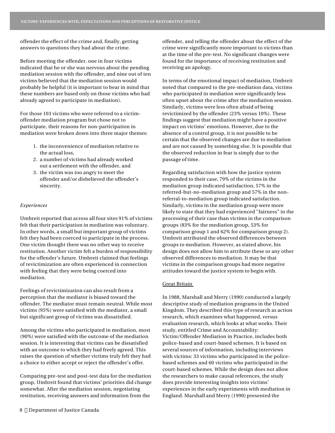offender the effect of the crime and, finally, getting answers to questions they had about the crime.

Before meeting the offender, one in four victims indicated that he or she was nervous about the pending mediation session with the offender, and nine out of ten victims believed that the mediation session would probably be helpful (it is important to bear in mind that these numbers are based only on those victims who had already agreed to participate in mediation).

For those 103 victims who were referred to a victimoffender mediation program but chose not to participate, their reasons for non-participation in mediation were broken down into three major themes:

- 1. the inconvenience of mediation relative to the actual loss,
- 2. a number of victims had already worked out a settlement with the offender, and
- 3. the victim was too angry to meet the offender and/or disbelieved the offender's sincerity.

### *Experiences*

Umbreit reported that across all four sites 91% of victims felt that their participation in mediation was voluntary. In other words, a small but important group of victims felt they had been coerced to participate in the process. One victim thought there was no other way to receive restitution. Another victim felt a burden of responsibility for the offender's future. Umbreit claimed that feelings of revictimization are often experienced in connection with feeling that they were being coerced into mediation.

Feelings of revictimization can also result from a perception that the mediator is biased toward the offender. The mediator must remain neutral. While most victims (95%) were satisfied with the mediator, a small but significant group of victims was dissatisfied.

Among the victims who participated in mediation, most (90%) were satisfied with the outcome of the mediation session. It is interesting that victims can be dissatisfied with an outcome to which they had freely agreed. This raises the question of whether victims truly felt they had a choice to either accept or reject the offender's offer.

Comparing pre-test and post-test data for the mediation group, Umbreit found that victims' priorities did change somewhat. After the mediation session, negotiating restitution, receiving answers and information from the

In terms of the emotional impact of mediation, Umbreit noted that compared to the pre-mediation data, victims who participated in mediation were significantly less often upset about the crime after the mediation session. Similarly, victims were less often afraid of being revictimized by the offender (23% versus 10%). These findings suggest that mediation might have a positive impact on victims' emotions. However, due to the absence of a control group, it is not possible to be certain that the observed changes are due to mediation and are not caused by something else. It is possible that the observed reduction in fear is simply due to the passage of time.

Regarding satisfaction with how the justice system responded to their case, 79% of the victims in the mediation group indicated satisfaction, 57% in the referred-but-no-mediation group and 57% in the nonreferral-to-mediation group indicated satisfaction. Similarly, victims in the mediation group were more likely to state that they had experienced "fairness" in the processing of their case than victims in the comparison groups (83% for the mediation group, 53% for comparison group 1 and 62% for comparison group 2). Umbreit attributed the observed differences between groups to mediation. However, as stated above, his design does not allow him to attribute these or any other observed differences to mediation. It may be that victims in the comparison groups had more negative attitudes toward the justice system to begin with.

## Great Britain

In 1988, Marshall and Merry (1990) conducted a largely descriptive study of mediation programs in the United Kingdom. They described this type of research as action research, which examines what happened, versus evaluation research, which looks at what works. Their study, entitled Crime and Accountability: Victim/Offender Mediation in Practice, includes both police-based and court-based schemes. It is based on several sources of information, including interviews with victims: 33 victims who participated in the policebased schemes and 60 victims who participated in the court-based schemes. While the design does not allow the researchers to make causal references, the study does provide interesting insights into victims' experiences in the early experiments with mediation in England. Marshall and Merry (1990) presented the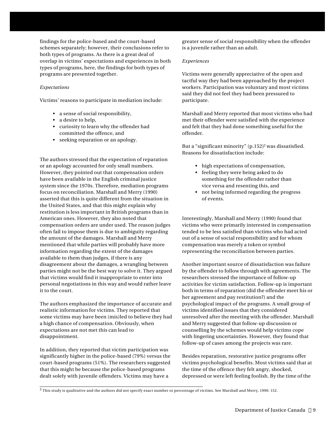findings for the police-based and the court-based schemes separately; however, their conclusions refer to both types of programs. As there is a great deal of overlap in victims' expectations and experiences in both types of programs, here, the findings for both types of programs are presented together.

## *Expectations*

Victims' reasons to participate in mediation include:

- a sense of social responsibility,
- a desire to help,
- curiosity to learn why the offender had committed the offence, and
- seeking reparation or an apology.

The authors stressed that the expectation of reparation or an apology accounted for only small numbers. However, they pointed out that compensation orders have been available in the English criminal justice system since the 1970s. Therefore, mediation programs focus on reconciliation. Marshall and Merry (1990) asserted that this is quite different from the situation in the United States, and that this might explain why restitution is less important in British programs than in American ones. However, they also noted that compensation orders are under used. The reason judges often fail to impose them is due to ambiguity regarding the amount of the damages. Marshall and Merry mentioned that while parties will probably have more information regarding the extent of the damages available to them than judges, if there is any disagreement about the damages, a wrangling between parties might not be the best way to solve it. They argued that victims would find it inappropriate to enter into personal negotiations in this way and would rather leave it to the court.

The authors emphasized the importance of accurate and realistic information for victims. They reported that some victims may have been (mis)led to believe they had a high chance of compensation. Obviously, when expectations are not met this can lead to disappointment.

In addition, they reported that victim participation was significantly higher in the police-based (79%) versus the court-based programs (51%). The researchers suggested that this might be because the police-based programs dealt solely with juvenile offenders. Victims may have a

greater sense of social responsibility when the offender is a juvenile rather than an adult.

## *Experiences*

Victims were generally appreciative of the open and tactful way they had been approached by the project workers. Participation was voluntary and most victims said they did not feel they had been pressured to participate.

Marshall and Merry reported that most victims who had met their offender were satisfied with the experience and felt that they had done something useful for the offender.

But a "significant minority" (p.152) <sup>2</sup> was dissatisfied. Reasons for dissatisfaction include:

- high expectations of compensation,
- feeling they were being asked to do something for the offender rather than vice versa and resenting this, and
- not being informed regarding the progress of events.

Interestingly, Marshall and Merry (1990) found that victims who were primarily interested in compensation tended to be less satisfied than victims who had acted out of a sense of social responsibility and for whom compensation was merely a token or symbol representing the reconciliation between parties.

Another important source of dissatisfaction was failure by the offender to follow through with agreements. The researchers stressed the importance of follow-up activities for victim satisfaction. Follow-up is important both in terms of reparation (did the offender meet his or her agreement and pay restitution?) and the psychological impact of the programs. A small group of victims identified issues that they considered unresolved after the meeting with the offender. Marshall and Merry suggested that follow-up discussion or counselling by the schemes would help victims cope with lingering uncertainties. However, they found that follow-up of cases among the projects was rare.

Besides reparation, restorative justice programs offer victims psychological benefits. Most victims said that at the time of the offence they felt angry, shocked, depressed or were left feeling foolish. By the time of the

 $^2$  This study is qualitative and the authors did not specify exact number or percentage of victims. See Marshall and Merry, 1990: 152.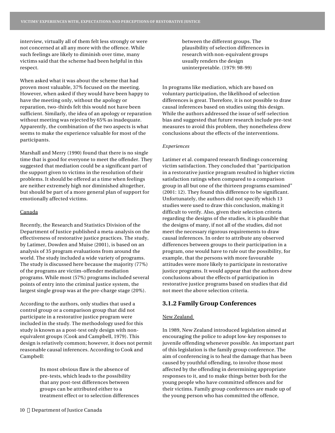interview, virtually all of them felt less strongly or were not concerned at all any more with the offence. While such feelings are likely to diminish over time, many victims said that the scheme had been helpful in this respect.

When asked what it was about the scheme that had proven most valuable, 37% focused on the meeting. However, when asked if they would have been happy to have the meeting only, without the apology or reparation, two-thirds felt this would not have been sufficient. Similarly, the idea of an apology or reparation without meeting was rejected by 65% as inadequate. Apparently, the combination of the two aspects is what seems to make the experience valuable for most of the participants.

Marshall and Merry (1990) found that there is no single time that is good for everyone to meet the offender. They suggested that mediation could be a significant part of the support given to victims in the resolution of their problems. It should be offered at a time when feelings are neither extremely high nor diminished altogether, but should be part of a more general plan of support for emotionally affected victims.

#### Canada

Recently, the Research and Statistics Division of the Department of Justice published a meta-analysis on the effectiveness of restorative justice practices. The study, by Latimer, Dowden and Muise (2001), is based on an analysis of 35 program evaluations from around the world. The study included a wide variety of programs. The study is discussed here because the majority (77%) of the programs are victim-offender mediation programs. While most (57%) programs included several points of entry into the criminal justice system, the largest single group was at the pre-charge stage (20%).

According to the authors, only studies that used a control group or a comparison group that did not participate in a restorative justice program were included in the study. The methodology used for this study is known as a post-test only design with nonequivalent groups (Cook and Campbell, 1979). This design is relatively common; however, it does not permit reasonable causal inferences. According to Cook and Campbell:

> Its most obvious flaw is the absence of pre-tests, which leads to the possibility that any post-test differences between groups can be attributed either to a treatment effect or to selection differences

between the different groups. The plausibility of selection differences in research with non-equivalent groups usually renders the design uninterpretable. (1979: 98-99)

In programs like mediation, which are based on voluntary participation, the likelihood of selection differences is great. Therefore, it is not possible to draw causal inferences based on studies using this design. While the authors addressed the issue of self-selection bias and suggested that future research include pre-test measures to avoid this problem, they nonetheless drew conclusions about the effects of the interventions.

## *Experiences*

Latimer et al. compared research findings concerning victim satisfaction. They concluded that "participation in a restorative justice program resulted in higher victim satisfaction ratings when compared to a comparison group in all but one of the thirteen programs examined" (2001: 12). They found this difference to be significant. Unfortunately, the authors did not specify which 13 studies were used to draw this conclusion, making it difficult to verify. Also, given their selection criteria regarding the designs of the studies, it is plausible that the designs of many, if not all of the studies, did not meet the necessary rigorous requirements to draw causal inferences. In order to attribute any observed differences between groups to their participation in a program, one would have to rule out the possibility, for example, that the persons with more favourable attitudes were more likely to participate in restorative justice programs. It would appear that the authors drew conclusions about the effects of participation in restorative justice programs based on studies that did not meet the above selection criteria.

## **3.1.2 Family Group Conferences**

## New Zealand

In 1989, New Zealand introduced legislation aimed at encouraging the police to adopt low-key responses to juvenile offending whenever possible. An important part of this legislation is the family group conference. The aim of conferencing is to heal the damage that has been caused by youthful offending, to involve those most affected by the offending in determining appropriate responses to it, and to make things better both for the young people who have committed offences and for their victims. Family group conferences are made up of the young person who has committed the offence,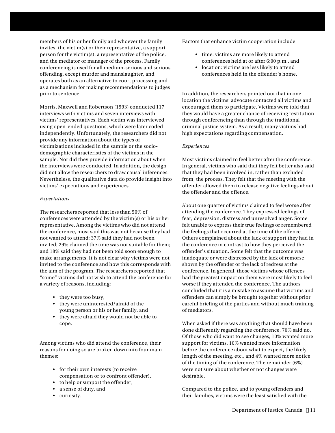members of his or her family and whoever the family invites, the victim(s) or their representative, a support person for the victim(s), a representative of the police, and the mediator or manager of the process. Family conferencing is used for all medium-serious and serious offending, except murder and manslaughter, and operates both as an alternative to court processing and as a mechanism for making recommendations to judges prior to sentence.

Morris, Maxwell and Robertson (1993) conducted 117 interviews with victims and seven interviews with victims' representatives. Each victim was interviewed using open-ended questions, which were later coded independently. Unfortunately, the researchers did not provide any information about the types of victimizations included in the sample or the sociodemographic characteristics of the victims in the sample. Nor did they provide information about when the interviews were conducted. In addition, the design did not allow the researchers to draw causal inferences. Nevertheless, the qualitative data do provide insight into victims' expectations and experiences.

### *Expectations*

The researchers reported that less than 50% of conferences were attended by the victim(s) or his or her representative. Among the victims who did not attend the conference, most said this was not because they had not wanted to attend: 37% said they had not been invited; 29% claimed the time was not suitable for them; and 18% said they had not been told soon enough to make arrangements. It is not clear why victims were not invited to the conference and how this corresponds with the aim of the program. The researchers reported that "some" victims did not wish to attend the conference for a variety of reasons, including:

- they were too busy,
- they were uninterested/afraid of the young person or his or her family, and
- they were afraid they would not be able to cope.

Among victims who did attend the conference, their reasons for doing so are broken down into four main themes:

- for their own interests (to receive compensation or to confront offender),
- to help or support the offender,
- a sense of duty, and
- curiosity.

Factors that enhance victim cooperation include:

- time: victims are more likely to attend conferences held at or after 6:00 p.m., and
- location: victims are less likely to attend conferences held in the offender's home.

In addition, the researchers pointed out that in one location the victims' advocate contacted all victims and encouraged them to participate. Victims were told that they would have a greater chance of receiving restitution through conferencing than through the traditional criminal justice system. As a result, many victims had high expectations regarding compensation.

## *Experiences*

Most victims claimed to feel better after the conference. In general, victims who said that they felt better also said that they had been involved in, rather than excluded from, the process. They felt that the meeting with the offender allowed them to release negative feelings about the offender and the offence.

About one quarter of victims claimed to feel worse after attending the conference. They expressed feelings of fear, depression, distress and unresolved anger. Some felt unable to express their true feelings or remembered the feelings that occurred at the time of the offence. Others complained about the lack of support they had in the conference in contrast to how they perceived the offender's situation. Some felt that the outcome was inadequate or were distressed by the lack of remorse shown by the offender or the lack of redress at the conference. In general, those victims whose offences had the greatest impact on them were most likely to feel worse if they attended the conference. The authors concluded that it is a mistake to assume that victims and offenders can simply be brought together without prior careful briefing of the parties and without much training of mediators.

When asked if there was anything that should have been done differently regarding the conference, 70% said no. Of those who did want to see changes, 10% wanted more support for victims, 10% wanted more information before the conference about what to expect, the likely length of the meeting, etc., and 4% wanted more notice of the timing of the conference. The remainder (6%) were not sure about whether or not changes were desirable.

Compared to the police, and to young offenders and their families, victims were the least satisfied with the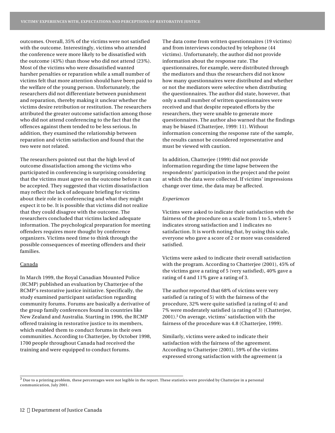outcomes. Overall, 35% of the victims were not satisfied with the outcome. Interestingly, victims who attended the conference were more likely to be dissatisfied with the outcome (43%) than those who did not attend (23%). Most of the victims who were dissatisfied wanted harsher penalties or reparation while a small number of victims felt that more attention should have been paid to the welfare of the young person. Unfortunately, the researchers did not differentiate between punishment and reparation, thereby making it unclear whether the victims desire retribution or restitution. The researchers attributed the greater outcome satisfaction among those who did not attend conferencing to the fact that the offences against them tended to be less serious. In addition, they examined the relationship between reparation and victim satisfaction and found that the two were not related.

The researchers pointed out that the high level of outcome dissatisfaction among the victims who participated in conferencing is surprising considering that the victims must agree on the outcome before it can be accepted. They suggested that victim dissatisfaction may reflect the lack of adequate briefing for victims about their role in conferencing and what they might expect it to be. It is possible that victims did not realize that they could disagree with the outcome. The researchers concluded that victims lacked adequate information. The psychological preparation for meeting offenders requires more thought by conference organizers. Victims need time to think through the possible consequences of meeting offenders and their families.

#### Canada

In March 1999, the Royal Canadian Mounted Police (RCMP) published an evaluation by Chatterjee of the RCMP's restorative justice initiative. Specifically, the study examined participant satisfaction regarding community forums. Forums are basically a derivative of the group family conferences found in countries like New Zealand and Australia. Starting in 1996, the RCMP offered training in restorative justice to its members, which enabled them to conduct forums in their own communities. According to Chatterjee, by October 1998, 1700 people throughout Canada had received the training and were equipped to conduct forums.

The data come from written questionnaires (19 victims) and from interviews conducted by telephone (44 victims). Unfortunately, the author did not provide information about the response rate. The questionnaires, for example, were distributed through the mediators and thus the researchers did not know how many questionnaires were distributed and whether or not the mediators were selective when distributing the questionnaires. The author did state, however, that only a small number of written questionnaires were received and that despite repeated efforts by the researchers, they were unable to generate more questionnaires. The author also warned that the findings may be biased (Chatterjee, 1999: 11). Without information concerning the response rate of the sample, the results cannot be considered representative and must be viewed with caution.

In addition, Chatterjee (1999) did not provide information regarding the time lapse between the respondents' participation in the project and the point at which the data were collected. If victims' impressions change over time, the data may be affected.

#### *Experiences*

Victims were asked to indicate their satisfaction with the fairness of the procedure on a scale from 1 to 5, where 5 indicates strong satisfaction and 1 indicates no satisfaction. It is worth noting that, by using this scale, everyone who gave a score of 2 or more was considered satisfied.

Victims were asked to indicate their overall satisfaction with the program. According to Chatterjee (2001), 45% of the victims gave a rating of 5 (very satisfied), 40% gave a rating of 4 and 11% gave a rating of 3.

The author reported that 68% of victims were very satisfied (a rating of 5) with the fairness of the procedure, 32% were quite satisfied (a rating of 4) and 7% were moderately satisfied (a rating of 3) (Chatterjee, 2001). <sup>3</sup> On average, victims' satisfaction with the fairness of the procedure was 4.8 (Chatterjee, 1999).

Similarly, victims were asked to indicate their satisfaction with the fairness of the agreement. According to Chatterjee (2001), 59% of the victims expressed strong satisfaction with the agreement (a

 $^3$  Due to a printing problem, these percentages were not legible in the report. These statistics were provided by Chatterjee in a personal communication, July 2001.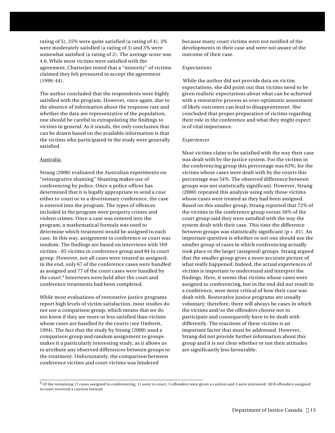rating of 5), 35% were quite satisfied (a rating of 4), 3% were moderately satisfied (a rating of 3) and 3% were somewhat satisfied (a rating of 2). The average score was 4.6. While most victims were satisfied with the agreement, Chatterjee noted that a "minority" of victims claimed they felt pressured to accept the agreement (1999: 44).

The author concluded that the respondents were highly satisfied with the program. However, once again, due to the absence of information about the response rate and whether the data are representative of the population, one should be careful in extrapolating the findings to victims in general. As it stands, the only conclusion that can be drawn based on the available information is that the victims who participated in the study were generally satisfied.

### Australia

Strang (2000) evaluated the Australian experiments on "reintegrative shaming" Shaming makes use of conferencing by police. Once a police officer has determined that it is legally appropriate to send a case either to court or to a diversionary conference, the case is entered into the program. The types of offences included in the program were property crimes and violent crimes. Once a case was entered into the program, a mathematical formula was used to determine which treatment would be assigned to each case. In this way, assignment to conference or court was random. The findings are based on interviews with 169 victims - 85 victims in conference group and 84 in court group. However, not all cases were treated as assigned; in the end, only 67 of the conference cases were handled as assigned and 77 of the court cases were handled by the court. 4 Interviews were held after the court and conference treatments had been completed.

While most evaluations of restorative justice programs report high levels of victim satisfaction, most studies do not use a comparison group, which means that we do not know if they are more or less satisfied than victims whose cases are handled by the courts (see Umbreit, 1994). The fact that the study by Strang (2000) used a comparison group and random assignment to groups makes it a particularly interesting study, as it allows us to attribute any observed differences between groups to the treatment. Unfortunately, the comparison between conference victims and court victims was hindered

because many court victims were not notified of the developments in their case and were not aware of the outcome of their case.

## *Expectations*

While the author did not provide data on victim expectations, she did point out that victims need to be given realistic expectations about what can be achieved with a restorative process as over-optimistic assessment of likely outcomes can lead to disappointment. She concluded that proper preparation of victims regarding their role in the conference and what they might expect is of vital importance.

## *Experiences*

Most victims claim to be satisfied with the way their case was dealt with by the justice system. For the victims in the conferencing group this percentage was 63%; for the victims whose cases were dealt with by the courts this percentage was 54%. The observed difference between groups was not statistically significant. However, Strang (2000) repeated this analysis using only those victims whose cases were treated as they had been assigned. Based on this smaller group, Strang reported that 72% of the victims in the conference group versus 50% of the court group said they were satisfied with the way the system dealt with their case. This time the difference between groups was statistically significant (p < .01). An important question is whether or not one should use the smaller group of cases in which conferencing actually took place or the larger (assigned) groups. Strang argued that the smaller group gives a more accurate picture of what really happened. Indeed, the actual experiences of victims is important to understand and interpret the findings. Here, it seems that victims whose cases were assigned to conferencing, but in the end did not result in a conference, were more critical of how their case was dealt with. Restorative justice programs are usually voluntary; therefore, there will always be cases in which the victims and/or the offenders choose not to participate and consequently have to be dealt with differently. The reactions of these victims is an important factor that must be addressed. However, Strang did not provide further information about this group and it is not clear whether or not their attitudes are significantly less favourable.

 $^4$  Of the remaining 17 cases assigned to conferencing, 11 went to court, 3 offenders were given a caution and 3 were untreated. All 8 offenders assigned to court received a caution instead.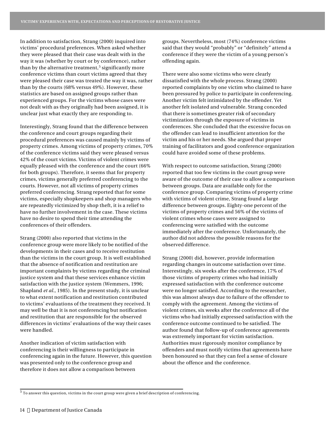In addition to satisfaction, Strang (2000) inquired into victims' procedural preferences. When asked whether they were pleased that their case was dealt with in the way it was (whether by court or by conference), rather than by the alternative treatment, 5 significantly more conference victims than court victims agreed that they were pleased their case was treated the way it was, rather than by the courts (68% versus 49%). However, these statistics are based on assigned groups rather than experienced groups. For the victims whose cases were not dealt with as they originally had been assigned, it is unclear just what exactly they are responding to.

Interestingly, Strang found that the difference between the conference and court groups regarding their procedural preferences was caused mainly by victims of property crimes. Among victims of property crimes, 70% of the conference victims said they were pleased versus 42% of the court victims. Victims of violent crimes were equally pleased with the conference and the court (66% for both groups). Therefore, it seems that for property crimes, victims generally preferred conferencing to the courts. However, not all victims of property crimes preferred conferencing. Strang reported that for some victims, especially shopkeepers and shop managers who are repeatedly victimized by shop theft, it is a relief to have no further involvement in the case. These victims have no desire to spend their time attending the conferences of their offenders.

Strang (2000) also reported that victims in the conference group were more likely to be notified of the developments in their cases and to receive restitution than the victims in the court group. It is well established that the absence of notification and restitution are important complaints by victims regarding the criminal justice system and that these services enhance victim satisfaction with the justice system (Wemmers, 1996; Shapland *et al.*, 1985). In the present study, it is unclear to what extent notification and restitution contributed to victims' evaluations of the treatment they received. It may well be that it is not conferencing but notification and restitution that are responsible for the observed differences in victims' evaluations of the way their cases were handled.

Another indication of victim satisfaction with conferencing is their willingness to participate in conferencing again in the future. However, this question was presented only to the conference group and therefore it does not allow a comparison between

groups. Nevertheless, most (74%) conference victims said that they would "probably" or "definitely" attend a conference if they were the victim of a young person's offending again.

There were also some victims who were clearly dissatisfied with the whole process. Strang (2000) reported complaints by one victim who claimed to have been pressured by police to participate in conferencing. Another victim felt intimidated by the offender. Yet another felt isolated and vulnerable. Strang conceded that there is sometimes greater risk of secondary victimization through the exposure of victims in conferences. She concluded that the excessive focus on the offender can lead to insufficient attention for the victim and his or her needs. She argued that proper training of facilitators and good conference organization could have avoided some of these problems.

With respect to outcome satisfaction, Strang (2000) reported that too few victims in the court group were aware of the outcome of their case to allow a comparison between groups. Data are available only for the conference group. Comparing victims of property crime with victims of violent crime, Strang found a large difference between groups. Eighty-one percent of the victims of property crimes and 56% of the victims of violent crimes whose cases were assigned to conferencing were satisfied with the outcome immediately after the conference. Unfortunately, the author did not address the possible reasons for the observed difference.

Strang (2000) did, however, provide information regarding changes in outcome satisfaction over time. Interestingly, six weeks after the conference, 17% of those victims of property crimes who had initially expressed satisfaction with the conference outcome were no longer satisfied. According to the researcher, this was almost always due to failure of the offender to comply with the agreement. Among the victims of violent crimes, six weeks after the conference all of the victims who had initially expressed satisfaction with the conference outcome continued to be satisfied. The author found that follow-up of conference agreements was extremely important for victim satisfaction. Authorities must rigorously monitor compliance by offenders and must notify victims that agreements have been honoured so that they can feel a sense of closure about the offence and the conference.

 $^5$  To answer this question, victims in the court group were given a brief description of conferencing.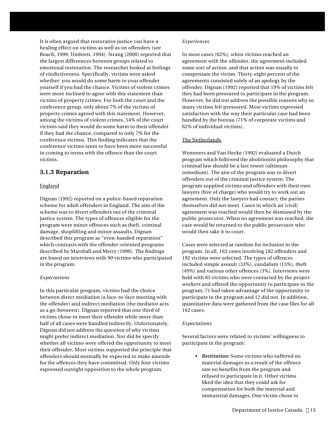It is often argued that restorative justice can have a healing effect on victims as well as on offenders (see Roach, 1999; Umbreit, 1994). Strang (2000) reported that the largest differences between groups related to emotional restoration. The researcher looked at feelings of vindictiveness. Specifically, victims were asked whether: you would do some harm to your offender yourself if you had the chance. Victims of violent crimes were more inclined to agree with this statement than victims of property crimes. For both the court and the conference group, only about 7% of the victims of property crimes agreed with this statement. However, among the victims of violent crimes, 54% of the court victims said they would do some harm to their offender if they had the chance, compared to only 7% for the conference victims. This finding indicates that the conference victims seem to have been more successful in coming to terms with the offence than the court victims.

## **3.1.3 Reparation**

## England

Dignan (1992) reported on a police-based reparation scheme for adult offenders in England. The aim of the scheme was to divert offenders out of the criminal justice system. The types of offences eligible for the program were minor offences such as theft, criminal damage, shoplifting and minor assaults. Dignan described this program as "even-handed reparation" which contrasts with the offender-oriented programs described by Marshall and Merry (1990). The findings are based on interviews with 90 victims who participated in the program.

## *Expectations*

In this particular program, victims had the choice between direct mediation (a face-to-face meeting with the offender) and indirect mediation (the mediator acts as a go-between). Dignan reported that one third of victims chose to meet their offender while more than half of all cases were handled indirectly. Unfortunately, Dignan did not address the question of why victims might prefer indirect mediation. Nor did he specify whether all victims were offered the opportunity to meet their offender. Most victims supported the principle that offenders should normally be expected to make amends for the offences they have committed. Only four victims expressed outright opposition to the whole program.

### *Experiences*

In most cases (62%), when victims reached an agreement with the offender, the agreement included some sort of action, and that action was usually to compensate the victim. Thirty-eight percent of the agreements consisted solely of an apology by the offender. Dignan (1992) reported that 19% of victims felt they had been pressured to participate in the program. However, he did not address the possible reasons why so many victims felt pressured. Most victims expressed satisfaction with the way their particular case had been handled by the bureau (71% of corporate victims and 62% of individual victims).

## The Netherlands

Wemmers and Van Hecke (1992) evaluated a Dutch program which followed the abolitionist philosophy that criminal law should be a last resort (ultimum remedium). The aim of the program was to divert offenders out of the criminal justice system. The program supplied victims and offenders with their own lawyers (free of charge) who would try to work out an agreement. Only the lawyers had contact; the parties themselves did not meet. Cases in which an (civil) agreement was reached would then be dismissed by the public prosecutor. When no agreement was reached, the case would be returned to the public prosecutor who would then take it to court.

Cases were selected at random for inclusion in the program. In all, 162 cases involving 182 offenders and 192 victims were selected. The types of offences included simple assault (33%), vandalism (15%), theft (49%) and various other offences (3%). Interviews were held with 83 victims who were contacted by the project workers and offered the opportunity to participate in the program; 71 had taken advantage of the opportunity to participate in the program and 12 did not. In addition, quantitative data were gathered from the case files for all 162 cases.

## *Expectations*

Several factors were related to victims' willingness to participate in the program:

> • *Restitution:* Some victims who suffered no material damages as a result of the offence saw no benefits from the program and refused to participate in it. Other victims liked the idea that they could ask for compensation for both the material and immaterial damages. One victim chose to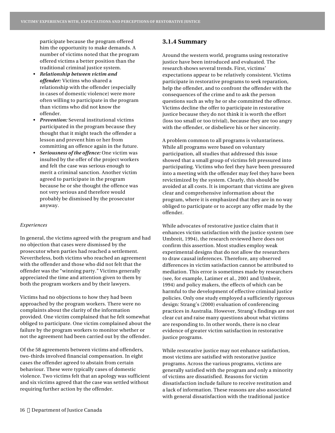participate because the program offered him the opportunity to make demands. A number of victims noted that the program offered victims a better position than the traditional criminal justice system.

- *Relationship between victim and offender:* Victims who shared a relationship with the offender (especially in cases of domestic violence) were more often willing to participate in the program than victims who did not know the offender.
- *Prevention:* Several institutional victims participated in the program because they thought that it might teach the offender a lesson and prevent him or her from committing an offence again in the future.
- *Seriousness of the offence:* One victim was insulted by the offer of the project workers and felt the case was serious enough to merit a criminal sanction. Another victim agreed to participate in the program because he or she thought the offence was not very serious and therefore would probably be dismissed by the prosecutor anyway.

#### *Experiences*

In general, the victims agreed with the program and had no objection that cases were dismissed by the prosecutor when parties had reached a settlement. Nevertheless, both victims who reached an agreement with the offender and those who did not felt that the offender was the "winning party." Victims generally appreciated the time and attention given to them by both the program workers and by their lawyers.

Victims had no objections to how they had been approached by the program workers. There were no complaints about the clarity of the information provided. One victim complained that he felt somewhat obliged to participate. One victim complained about the failure by the program workers to monitor whether or not the agreement had been carried out by the offender.

Of the 58 agreements between victims and offenders, two-thirds involved financial compensation. In eight cases the offender agreed to abstain from certain behaviour. These were typically cases of domestic violence. Two victims felt that an apology was sufficient and six victims agreed that the case was settled without requiring further action by the offender.

## **3.1.4 Summary**

Around the western world, programs using restorative justice have been introduced and evaluated. The research shows several trends. First, victims' expectations appear to be relatively consistent. Victims participate in restorative programs to seek reparation, help the offender, and to confront the offender with the consequences of the crime and to ask the person questions such as why he or she committed the offence. Victims decline the offer to participate in restorative justice because they do not think it is worth the effort (loss too small or too trivial), because they are too angry with the offender, or disbelieve his or her sincerity.

A problem common to all programs is voluntariness. While all programs were based on voluntary participation, all studies that addressed this issue showed that a small group of victims felt pressured into participating. Victims who feel they have been pressured into a meeting with the offender may feel they have been revictimized by the system. Clearly, this should be avoided at all costs. It is important that victims are given clear and comprehensive information about the program, where it is emphasized that they are in no way obliged to participate or to accept any offer made by the offender.

While advocates of restorative justice claim that it enhances victim satisfaction with the justice system (see Umbreit, 1994), the research reviewed here does not confirm this assertion. Most studies employ weak experimental designs that do not allow the researchers to draw causal inferences. Therefore, any observed differences in victim satisfaction cannot be attributed to mediation. This error is sometimes made by researchers (see, for example, Latimer et al., 2001 and Umbreit, 1994) and policy makers, the effects of which can be harmful to the development of effective criminal justice policies. Only one study employed a sufficiently rigorous design: Strang's (2000) evaluation of conferencing practices in Australia. However, Strang's findings are not clear cut and raise many questions about what victims are responding to. In other words, there is no clear evidence of greater victim satisfaction in restorative justice programs.

While restorative justice may not enhance satisfaction, most victims are satisfied with restorative justice programs. Across the various programs, victims are generally satisfied with the program and only a minority of victims are dissatisfied. Reasons for victim dissatisfaction include failure to receive restitution and a lack of information. These reasons are also associated with general dissatisfaction with the traditional justice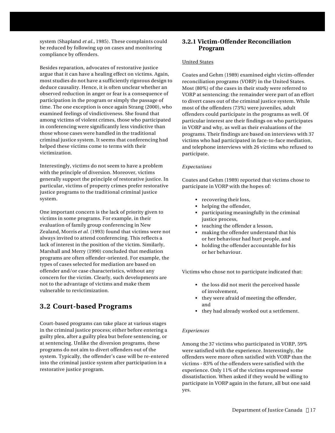system (Shapland *et al.*, 1985). These complaints could be reduced by following up on cases and monitoring compliance by offenders.

Besides reparation, advocates of restorative justice argue that it can have a healing effect on victims. Again, most studies do not have a sufficiently rigorous design to deduce causality. Hence, it is often unclear whether an observed reduction in anger or fear is a consequence of participation in the program or simply the passage of time. The one exception is once again Strang (2000), who examined feelings of vindictiveness. She found that among victims of violent crimes, those who participated in conferencing were significantly less vindictive than those whose cases were handled in the traditional criminal justice system. It seems that conferencing had helped these victims come to terms with their victimization.

Interestingly, victims do not seem to have a problem with the principle of diversion. Moreover, victims generally support the principle of restorative justice. In particular, victims of property crimes prefer restorative justice programs to the traditional criminal justice system.

One important concern is the lack of priority given to victims in some programs. For example, in their evaluation of family group conferencing in New Zealand, Morris *et al.* (1993) found that victims were not always invited to attend conferencing. This reflects a lack of interest in the position of the victim. Similarly, Marshall and Merry (1990) concluded that mediation programs are often offender-oriented. For example, the types of cases selected for mediation are based on offender and/or case characteristics, without any concern for the victim. Clearly, such developments are not to the advantage of victims and make them vulnerable to revictimization.

## **3.2 Court-based Programs**

Court-based programs can take place at various stages in the criminal justice process; either before entering a guilty plea, after a guilty plea but before sentencing, or at sentencing. Unlike the diversion programs, these programs do not aim to divert offenders out of the system. Typically, the offender's case will be re-entered into the criminal justice system after participation in a restorative justice program.

## **3.2.1 Victim-Offender Reconciliation Program**

## United States

Coates and Gehm (1989) examined eight victim-offender reconciliation programs (VORP) in the United States. Most (80%) of the cases in their study were referred to VORP at sentencing; the remainder were part of an effort to divert cases out of the criminal justice system. While most of the offenders (73%) were juveniles, adult offenders could participate in the programs as well. Of particular interest are their findings on who participates in VORP and why, as well as their evaluations of the programs. Their findings are based on interviews with 37 victims who had participated in face-to-face mediation, and telephone interviews with 26 victims who refused to participate.

## *Expectations*

Coates and Gehm (1989) reported that victims chose to participate in VORP with the hopes of:

- recovering their loss,
- helping the offender,
- participating meaningfully in the criminal justice process,
- teaching the offender a lesson,
- making the offender understand that his or her behaviour had hurt people, and
- holding the offender accountable for his or her behaviour.

Victims who chose not to participate indicated that:

- the loss did not merit the perceived hassle of involvement,
- they were afraid of meeting the offender, and
- they had already worked out a settlement.

## *Experiences*

Among the 37 victims who participated in VORP, 59% were satisfied with the experience. Interestingly, the offenders were more often satisfied with VORP than the victims - 83% of the offenders were satisfied with the experience. Only 11% of the victims expressed some dissatisfaction. When asked if they would be willing to participate in VORP again in the future, all but one said yes.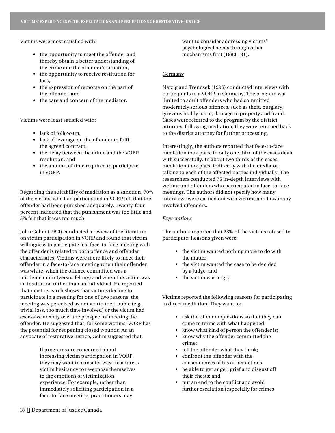Victims were most satisfied with:

- the opportunity to meet the offender and thereby obtain a better understanding of the crime and the offender's situation,
- the opportunity to receive restitution for loss,
- the expression of remorse on the part of the offender, and
- the care and concern of the mediator.

Victims were least satisfied with:

- lack of follow-up,
- lack of leverage on the offender to fulfil the agreed contract,
- the delay between the crime and the VORP resolution, and
- the amount of time required to participate in VORP.

Regarding the suitability of mediation as a sanction, 70% of the victims who had participated in VORP felt that the offender had been punished adequately. Twenty-four percent indicated that the punishment was too little and 5% felt that it was too much.

John Gehm (1990) conducted a review of the literature on victim participation in VORP and found that victim willingness to participate in a face-to-face meeting with the offender is related to both offence and offender characteristics. Victims were more likely to meet their offender in a face-to-face meeting when their offender was white, when the offence committed was a misdemeanour (versus felony) and when the victim was an institution rather than an individual. He reported that most research shows that victims decline to participate in a meeting for one of two reasons: the meeting was perceived as not worth the trouble (e.g. trivial loss, too much time involved) or the victim had excessive anxiety over the prospect of meeting the offender. He suggested that, for some victims, VORP has the potential for reopening closed wounds. As an advocate of restorative justice, Gehm suggested that:

> If programs are concerned about increasing victim participation in VORP, they may want to consider ways to address victim hesitancy to re-expose themselves to the emotions of victimization experience. For example, rather than immediately soliciting participation in a face-to-face meeting, practitioners may

want to consider addressing victims' psychological needs through other mechanisms first (1990:181).

#### **Germany**

Netzig and Trenczek (1996) conducted interviews with participants in a VORP in Germany. The program was limited to adult offenders who had committed moderately serious offences, such as theft, burglary, grievous bodily harm, damage to property and fraud. Cases were referred to the program by the district attorney; following mediation, they were returned back to the district attorney for further processing.

Interestingly, the authors reported that face-to-face mediation took place in only one third of the cases dealt with successfully. In about two thirds of the cases, mediation took place indirectly with the mediator talking to each of the affected parties individually. The researchers conducted 75 in-depth interviews with victims and offenders who participated in face-to-face meetings. The authors did not specify how many interviews were carried out with victims and how many involved offenders.

#### *Expectations*

The authors reported that 28% of the victims refused to participate. Reasons given were:

- the victim wanted nothing more to do with the matter,
- the victim wanted the case to be decided by a judge, and
- the victim was angry.

Victims reported the following reasons for participating in direct mediation. They want to:

- ask the offender questions so that they can come to terms with what happened;
- know what kind of person the offender is;
- know why the offender committed the crime;
- tell the offender what they think;
- confront the offender with the consequences of his or her actions;
- be able to get anger, grief and disgust off their chests; and
- put an end to the conflict and avoid further escalation (especially for crimes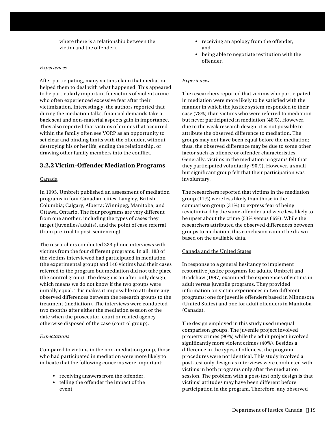where there is a relationship between the victim and the offender).

#### *Experiences*

After participating, many victims claim that mediation helped them to deal with what happened. This appeared to be particularly important for victims of violent crime who often experienced excessive fear after their victimization. Interestingly, the authors reported that during the mediation talks, financial demands take a back seat and non-material aspects gain in importance. They also reported that victims of crimes that occurred within the family often see VORP as an opportunity to set clear and binding limits with the offender, without destroying his or her life, ending the relationship, or drawing other family members into the conflict.

## **3.2.2 Victim-Offender Mediation Programs**

### Canada

In 1995, Umbreit published an assessment of mediation programs in four Canadian cities: Langley, British Columbia; Calgary, Alberta; Winnipeg, Manitoba; and Ottawa, Ontario. The four programs are very different from one another, including the types of cases they target (juveniles/adults), and the point of case referral (from pre-trial to post-sentencing).

The researchers conducted 323 phone interviews with victims from the four different programs. In all, 183 of the victims interviewed had participated in mediation (the experimental group) and 140 victims had their cases referred to the program but mediation did not take place (the control group). The design is an after-only design, which means we do not know if the two groups were initially equal. This makes it impossible to attribute any observed differences between the research groups to the treatment (mediation). The interviews were conducted two months after either the mediation session or the date when the prosecutor, court or related agency otherwise disposed of the case (control group).

#### *Expectations*

Compared to victims in the non-mediation group, those who had participated in mediation were more likely to indicate that the following concerns were important:

- receiving answers from the offender,
- telling the offender the impact of the event,
- receiving an apology from the offender, and
- being able to negotiate restitution with the offender.

#### *Experiences*

The researchers reported that victims who participated in mediation were more likely to be satisfied with the manner in which the justice system responded to their case (78%) than victims who were referred to mediation but never participated in mediation (48%). However, due to the weak research design, it is not possible to attribute the observed difference to mediation. The groups may not have been equal before the mediation; thus, the observed difference may be due to some other factor such as offence or offender characteristics. Generally, victims in the mediation programs felt that they participated voluntarily (90%). However, a small but significant group felt that their participation was involuntary.

The researchers reported that victims in the mediation group (11%) were less likely than those in the comparison group (31%) to express fear of being revictimized by the same offender and were less likely to be upset about the crime (53% versus 66%). While the researchers attributed the observed differences between groups to mediation, this conclusion cannot be drawn based on the available data.

#### Canada and the United States

In response to a general hesitancy to implement restorative justice programs for adults, Umbreit and Bradshaw (1997) examined the experiences of victims in adult versus juvenile programs. They provided information on victim experiences in two different programs: one for juvenile offenders based in Minnesota (United States) and one for adult offenders in Manitoba (Canada).

The design employed in this study used unequal comparison groups. The juvenile project involved property crimes (90%) while the adult project involved significantly more violent crimes (40%). Besides a difference in the types of offences, the program procedures were not identical. This study involved a post-test only design as interviews were conducted with victims in both programs only after the mediation session. The problem with a post-test only design is that victims' attitudes may have been different before participation in the program. Therefore, any observed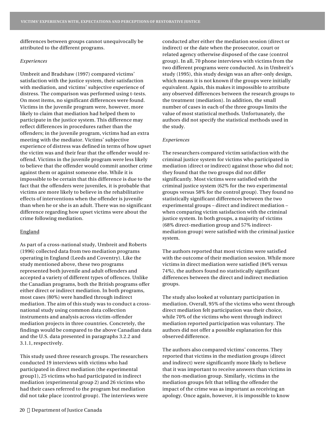differences between groups cannot unequivocally be attributed to the different programs.

#### *Experiences*

Umbreit and Bradshaw (1997) compared victims' satisfaction with the justice system, their satisfaction with mediation, and victims' subjective experience of distress. The comparison was performed using t-tests. On most items, no significant differences were found. Victims in the juvenile program were, however, more likely to claim that mediation had helped them to participate in the justice system. This difference may reflect differences in procedures rather than the offenders; in the juvenile program, victims had an extra meeting with the mediator. Victims' subjective experience of distress was defined in terms of how upset the victim was and their fear that the offender would reoffend. Victims in the juvenile program were less likely to believe that the offender would commit another crime against them or against someone else. While it is impossible to be certain that this difference is due to the fact that the offenders were juveniles, it is probable that victims are more likely to believe in the rehabilitative effects of interventions when the offender is juvenile than when he or she is an adult. There was no significant difference regarding how upset victims were about the crime following mediation.

### England

As part of a cross-national study, Umbreit and Roberts (1996) collected data from two mediation programs operating in England (Leeds and Coventry). Like the study mentioned above, these two programs represented both juvenile and adult offenders and accepted a variety of different types of offences. Unlike the Canadian programs, both the British programs offer either direct or indirect mediation. In both programs, most cases (80%) were handled through indirect mediation. The aim of this study was to conduct a crossnational study using common data collection instruments and analysis across victim-offender mediation projects in three countries. Concretely, the findings would be compared to the above Canadian data and the U.S. data presented in paragraphs 3.2.2 and 3.1.1, respectively.

This study used three research groups. The researchers conducted 19 interviews with victims who had participated in direct mediation (the experimental group1), 25 victims who had participated in indirect mediation (experimental group 2) and 26 victims who had their cases referred to the program but mediation did not take place (control group). The interviews were

conducted after either the mediation session (direct or indirect) or the date when the prosecutor, court or related agency otherwise disposed of the case (control group). In all, 70 phone interviews with victims from the two different programs were conducted. As in Umbreit's study (1995), this study design was an after-only design, which means it is not known if the groups were initially equivalent. Again, this makes it impossible to attribute any observed differences between the research groups to the treatment (mediation). In addition, the small number of cases in each of the three groups limits the value of most statistical methods. Unfortunately, the authors did not specify the statistical methods used in the study.

#### *Experiences*

The researchers compared victim satisfaction with the criminal justice system for victims who participated in mediation (direct or indirect) against those who did not; they found that the two groups did not differ significantly. Most victims were satisfied with the criminal justice system (62% for the two experimental groups versus 58% for the control group). They found no statistically significant differences between the two experimental groups – direct and indirect mediation – when comparing victim satisfaction with the criminal justice system. In both groups, a majority of victims (68% direct-mediation group and 57% indirectmediation group) were satisfied with the criminal justice system.

The authors reported that most victims were satisfied with the outcome of their mediation session. While more victims in direct mediation were satisfied (84% versus 74%), the authors found no statistically significant differences between the direct and indirect mediation groups.

The study also looked at voluntary participation in mediation. Overall, 95% of the victims who went through direct mediation felt participation was their choice, while 70% of the victims who went through indirect mediation reported participation was voluntary. The authors did not offer a possible explanation for this observed difference.

The authors also compared victims' concerns. They reported that victims in the mediation groups (direct and indirect) were significantly more likely to believe that it was important to receive answers than victims in the non-mediation group. Similarly, victims in the mediation groups felt that telling the offender the impact of the crime was as important as receiving an apology. Once again, however, it is impossible to know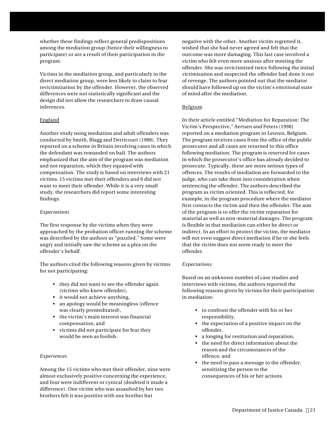whether these findings reflect general predispositions among the mediation group (hence their willingness to participate) or are a result of their participation in the program.

Victims in the mediation group, and particularly in the direct mediation group, were less likely to claim to fear revictimization by the offender. However, the observed differences were not statistically significant and the design did not allow the researchers to draw causal inferences.

## England

Another study using mediation and adult offenders was conducted by Smith, Blagg and Derricourt (1988). They reported on a scheme in Britain involving cases in which the defendant was remanded on bail. The authors emphasized that the aim of the program was mediation and not reparation, which they equated with compensation. The study is based on interviews with 21 victims: 15 victims met their offenders and 6 did not want to meet their offender. While it is a very small study, the researchers did report some interesting findings.

## *Expectations*

The first response by the victims when they were approached by the probation officer running the scheme was described by the authors as "puzzled." Some were angry and initially saw the scheme as a plea on the offender's behalf.

The authors cited the following reasons given by victims for not participating:

- they did not want to see the offender again (victims who knew offender),
- it would not achieve anything,
- an apology would be meaningless (offence was clearly premeditated),
- the victim's main interest was financial compensation, and
- victims did not participate for fear they would be seen as foolish.

## *Experiences*

Among the 15 victims who met their offender, nine were almost exclusively positive concerning the experience, and four were indifferent or cynical (doubted it made a difference). One victim who was assaulted by her two brothers felt it was positive with one brother but

negative with the other. Another victim regretted it, wished that she had never agreed and felt that the outcome was more damaging. This last case involved a victim who felt even more anxious after meeting the offender. She was revictimized twice following the initial victimization and suspected the offender had done it out of revenge. The authors pointed out that the mediator should have followed up on the victim's emotional state of mind after the mediation.

## Belgium

In their article entitled "Mediation for Reparation: The Victim's Perspective," Aertsen and Peters (1998) reported on a mediation program in Leuven, Belgium. The program receives cases from the office of the public prosecutor and all cases are returned to this office following mediation. The program is reserved for cases in which the prosecutor's office has already decided to prosecute. Typically, these are more serious types of offences. The results of mediation are forwarded to the judge, who can take them into consideration when sentencing the offender. The authors described the program as victim oriented. This is reflected, for example, in the program procedure where the mediator first contacts the victim and then the offender. The aim of the program is to offer the victim reparation for material as well as non-material damages. The program is flexible in that mediation can either be direct or indirect. In an effort to protect the victim, the mediator will not even suggest direct mediation if he or she feels that the victim does not seem ready to meet the offender.

## *Expectations*

Based on an unknown number of case studies and interviews with victims, the authors reported the following reasons given by victims for their participation in mediation:

- to confront the offender with his or her responsibility,
- the expectation of a positive impact on the offender,
- a longing for restitution and reparation,
- the need for direct information about the reason and the circumstances of the offence, and
- the need to pass a message to the offender, sensitizing the person to the consequences of his or her actions.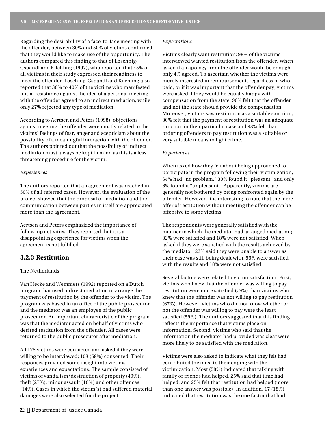Regarding the desirability of a face-to-face meeting with the offender, between 30% and 50% of victims confirmed that they would like to make use of the opportunity. The authors compared this finding to that of Loschnig-Gspandl and Kilchling (1997), who reported that 45% of all victims in their study expressed their readiness to meet the offender. Loschnig-Gspandl and Kilchling also reported that 30% to 40% of the victims who manifested initial resistance against the idea of a personal meeting with the offender agreed to an indirect mediation, while only 27% rejected any type of mediation.

According to Aertsen and Peters (1998), objections against meeting the offender were mostly related to the victims' feelings of fear, anger and scepticism about the possibility of a meaningful interaction with the offender. The authors pointed out that the possibility of indirect mediation must always be kept in mind as this is a less threatening procedure for the victim.

#### *Experiences*

The authors reported that an agreement was reached in 50% of all referred cases. However, the evaluation of the project showed that the proposal of mediation and the communication between parties in itself are appreciated more than the agreement.

Aertsen and Peters emphasized the importance of follow-up activities. They reported that it is a disappointing experience for victims when the agreement is not fulfilled.

## **3.2.3 Restitution**

#### The Netherlands

Van Hecke and Wemmers (1992) reported on a Dutch program that used indirect mediation to arrange the payment of restitution by the offender to the victim. The program was based in an office of the public prosecutor and the mediator was an employee of the public prosecutor. An important characteristic of the program was that the mediator acted on behalf of victims who desired restitution from the offender. All cases were returned to the public prosecutor after mediation.

All 175 victims were contacted and asked if they were willing to be interviewed; 103 (59%) consented. Their responses provided some insight into victims' experiences and expectations. The sample consisted of victims of vandalism/destruction of property (49%), theft (27%), minor assault (10%) and other offences (14%). Cases in which the victim(s) had suffered material damages were also selected for the project.

#### *Expectations*

Victims clearly want restitution: 98% of the victims interviewed wanted restitution from the offender. When asked if an apology from the offender would be enough, only 4% agreed. To ascertain whether the victims were merely interested in reimbursement, regardless of who paid, or if it was important that the offender pay, victims were asked if they would be equally happy with compensation from the state; 96% felt that the offender and not the state should provide the compensation. Moreover, victims saw restitution as a suitable sanction; 80% felt that the payment of restitution was an adequate sanction in their particular case and 98% felt that ordering offenders to pay restitution was a suitable or very suitable means to fight crime.

#### *Experiences*

When asked how they felt about being approached to participate in the program following their victimization, 64% had "no problem," 30% found it "pleasant" and only 6% found it "unpleasant." Apparently, victims are generally not bothered by being confronted again by the offender. However, it is interesting to note that the mere offer of restitution without meeting the offender can be offensive to some victims.

The respondents were generally satisfied with the manner in which the mediator had arranged mediation; 82% were satisfied and 18% were not satisfied. When asked if they were satisfied with the results achieved by the mediator, 23% said they were unable to answer as their case was still being dealt with, 56% were satisfied with the results and 18% were not satisfied.

Several factors were related to victim satisfaction. First, victims who knew that the offender was willing to pay restitution were more satisfied (79%) than victims who knew that the offender was not willing to pay restitution (67%). However, victims who did not know whether or not the offender was willing to pay were the least satisfied (59%). The authors suggested that this finding reflects the importance that victims place on information. Second, victims who said that the information the mediator had provided was clear were more likely to be satisfied with the mediation.

Victims were also asked to indicate what they felt had contributed the most to their coping with the victimization. Most (58%) indicated that talking with family or friends had helped, 25% said that time had helped, and 25% felt that restitution had helped (more than one answer was possible). In addition, 17 (18%) indicated that restitution was the one factor that had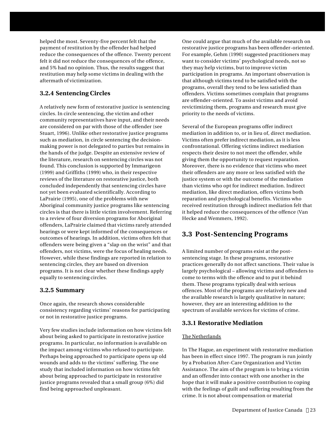helped the most. Seventy-five percent felt that the payment of restitution by the offender had helped reduce the consequences of the offence. Twenty percent felt it did not reduce the consequences of the offence, and 5% had no opinion. Thus, the results suggest that restitution may help some victims in dealing with the aftermath of victimization.

## **3.2.4 Sentencing Circles**

A relatively new form of restorative justice is sentencing circles. In circle sentencing, the victim and other community representatives have input, and their needs are considered on par with those of the offender (see Stuart, 1996). Unlike other restorative justice programs such as mediation, in circle sentencing the decisionmaking power is not delegated to parties but remains in the hands of the judge. Despite an extensive review of the literature, research on sentencing circles was not found. This conclusion is supported by Immarigeon (1999) and Griffiths (1999) who, in their respective reviews of the literature on restorative justice, both concluded independently that sentencing circles have not yet been evaluated scientifically. According to LaPrairie (1995), one of the problems with new Aboriginal community justice programs like sentencing circles is that there is little victim involvement. Referring to a review of four diversion programs for Aboriginal offenders, LaPrairie claimed that victims rarely attended hearings or were kept informed of the consequences or outcomes of hearings. In addition, victims often felt that offenders were being given a "slap on the wrist" and that offenders, not victims, were the focus of healing needs. However, while these findings are reported in relation to sentencing circles, they are based on diversion programs. It is not clear whether these findings apply equally to sentencing circles.

## **3.2.5 Summary**

Once again, the research shows considerable consistency regarding victims' reasons for participating or not in restorative justice programs.

Very few studies include information on how victims felt about being asked to participate in restorative justice programs. In particular, no information is available on the impact among victims who refused to participate. Perhaps being approached to participate opens up old wounds and adds to the victims' suffering. The one study that included information on how victims felt about being approached to participate in restorative justice programs revealed that a small group (6%) did find being approached unpleasant.

One could argue that much of the available research on restorative justice programs has been offender-oriented. For example, Gehm (1990) suggested practitioners may want to consider victims' psychological needs, not so they may help victims, but to improve victim participation in programs. An important observation is that although victims tend to be satisfied with the programs, overall they tend to be less satisfied than offenders. Victims sometimes complain that programs are offender-oriented. To assist victims and avoid revictimizing them, programs and research must give priority to the needs of victims.

Several of the European programs offer indirect mediation in addition to, or in lieu of, direct mediation. Victims often prefer indirect mediation, as it is less confrontational. Offering victims indirect mediation respects their desire to not meet the offender, while giving them the opportunity to request reparation. Moreover, there is no evidence that victims who meet their offenders are any more or less satisfied with the justice system or with the outcome of the mediation than victims who opt for indirect mediation. Indirect mediation, like direct mediation, offers victims both reparation and psychological benefits. Victims who received restitution through indirect mediation felt that it helped reduce the consequences of the offence (Van Hecke and Wemmers, 1992).

## **3.3 Post-Sentencing Programs**

A limited number of programs exist at the postsentencing stage. In these programs, restorative practices generally do not affect sanctions. Their value is largely psychological – allowing victims and offenders to come to terms with the offence and to put it behind them. These programs typically deal with serious offences. Most of the programs are relatively new and the available research is largely qualitative in nature; however, they are an interesting addition to the spectrum of available services for victims of crime.

## **3.3.1 Restorative Mediation**

## The Netherlands

In The Hague, an experiment with restorative mediation has been in effect since 1997. The program is run jointly by a Probation After-Care Organization and Victim Assistance. The aim of the program is to bring a victim and an offender into contact with one another in the hope that it will make a positive contribution to coping with the feelings of guilt and suffering resulting from the crime. It is not about compensation or material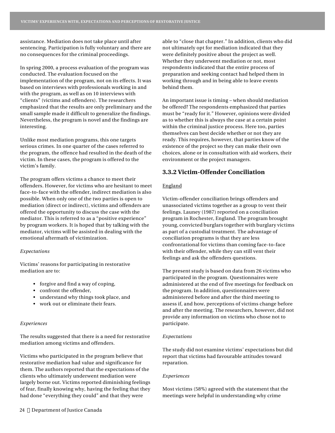assistance. Mediation does not take place until after sentencing. Participation is fully voluntary and there are no consequences for the criminal proceedings.

In spring 2000, a process evaluation of the program was conducted. The evaluation focused on the implementation of the program, not on its effects. It was based on interviews with professionals working in and with the program, as well as on 10 interviews with "clients" (victims and offenders). The researchers emphasized that the results are only preliminary and the small sample made it difficult to generalize the findings. Nevertheless, the program is novel and the findings are interesting.

Unlike most mediation programs, this one targets serious crimes. In one quarter of the cases referred to the program, the offence had resulted in the death of the victim. In these cases, the program is offered to the victim's family.

The program offers victims a chance to meet their offenders. However, for victims who are hesitant to meet face-to-face with the offender, indirect mediation is also possible. When only one of the two parties is open to mediation (direct or indirect), victims and offenders are offered the opportunity to discuss the case with the mediator. This is referred to as a "positive experience" by program workers. It is hoped that by talking with the mediator, victims will be assisted in dealing with the emotional aftermath of victimization.

#### *Expectations*

Victims' reasons for participating in restorative mediation are to:

- forgive and find a way of coping,
- confront the offender,
- understand why things took place, and
- work out or eliminate their fears.

#### *Experiences*

The results suggested that there is a need for restorative mediation among victims and offenders.

Victims who participated in the program believe that restorative mediation had value and significance for them. The authors reported that the expectations of the clients who ultimately underwent mediation were largely borne out. Victims reported diminishing feelings of fear, finally knowing why, having the feeling that they had done "everything they could" and that they were

able to "close that chapter." In addition, clients who did not ultimately opt for mediation indicated that they were definitely positive about the project as well. Whether they underwent mediation or not, most respondents indicated that the entire process of preparation and seeking contact had helped them in working through and in being able to leave events behind them.

An important issue is timing – when should mediation be offered? The respondents emphasized that parties must be "ready for it." However, opinions were divided as to whether this is always the case at a certain point within the criminal justice process. Here too, parties themselves can best decide whether or not they are ready. This requires, however, that parties know of the existence of the project so they can make their own choices, alone or in consultation with aid workers, their environment or the project managers.

## **3.3.2 Victim-Offender Conciliation**

## England

Victim-offender conciliation brings offenders and unassociated victims together as a group to vent their feelings. Launey (1987) reported on a conciliation program in Rochester, England. The program brought young, convicted burglars together with burglary victims as part of a custodial treatment. The advantage of conciliation programs is that they are less confrontational for victims than coming face-to-face with their offender, while they can still vent their feelings and ask the offenders questions.

The present study is based on data from 26 victims who participated in the program. Questionnaires were administered at the end of five meetings for feedback on the program. In addition, questionnaires were administered before and after the third meeting to assess if, and how, perceptions of victims change before and after the meeting. The researchers, however, did not provide any information on victims who chose not to participate.

#### *Expectations*

The study did not examine victims' expectations but did report that victims had favourable attitudes toward reparation.

#### *Experiences*

Most victims (58%) agreed with the statement that the meetings were helpful in understanding why crime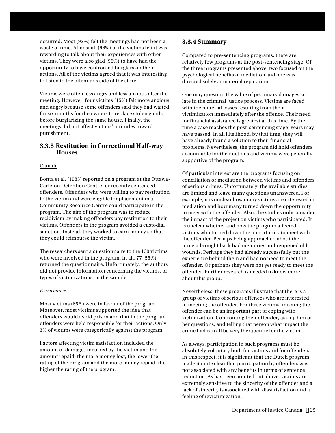occurred. Most (92%) felt the meetings had not been a waste of time. Almost all (96%) of the victims felt it was rewarding to talk about their experiences with other victims. They were also glad (96%) to have had the opportunity to have confronted burglars on their actions. All of the victims agreed that it was interesting to listen to the offender's side of the story.

Victims were often less angry and less anxious after the meeting. However, four victims (15%) felt more anxious and angry because some offenders said they had waited for six months for the owners to replace stolen goods before burglarizing the same house. Finally, the meetings did not affect victims' attitudes toward punishment.

## **3.3.3 Restitution in Correctional Half-way Houses**

## Canada

Bonta et al. (1983) reported on a program at the Ottawa-Carleton Detention Centre for recently sentenced offenders. Offenders who were willing to pay restitution to the victim and were eligible for placement in a Community Resource Centre could participate in the program. The aim of the program was to reduce recidivism by making offenders pay restitution to their victims. Offenders in the program avoided a custodial sanction. Instead, they worked to earn money so that they could reimburse the victim.

The researchers sent a questionnaire to the 139 victims who were involved in the program. In all, 77 (55%) returned the questionnaire. Unfortunately, the authors did not provide information concerning the victims, or types of victimizations, in the sample.

## *Experiences*

Most victims (65%) were in favour of the program. Moreover, most victims supported the idea that offenders would avoid prison and that in the program offenders were held responsible for their actions. Only 3% of victims were categorically against the program.

Factors affecting victim satisfaction included the amount of damages incurred by the victim and the amount repaid; the more money lost, the lower the rating of the program and the more money repaid, the higher the rating of the program.

## **3.3.4 Summary**

Compared to pre-sentencing programs, there are relatively few programs at the post-sentencing stage. Of the three programs presented above, two focused on the psychological benefits of mediation and one was directed solely at material reparation.

One may question the value of pecuniary damages so late in the criminal justice process. Victims are faced with the material losses resulting from their victimization immediately after the offence. Their need for financial assistance is greatest at this time. By the time a case reaches the post-sentencing stage, years may have passed. In all likelihood, by that time, they will have already found a solution to their financial problems. Nevertheless, the program did hold offenders accountable for their actions and victims were generally supportive of the program.

Of particular interest are the programs focusing on conciliation or mediation between victims and offenders of serious crimes. Unfortunately, the available studies are limited and leave many questions unanswered. For example, it is unclear how many victims are interested in mediation and how many turned down the opportunity to meet with the offender. Also, the studies only consider the impact of the project on victims who participated. It is unclear whether and how the program affected victims who turned down the opportunity to meet with the offender. Perhaps being approached about the project brought back bad memories and reopened old wounds. Perhaps they had already successfully put the experience behind them and had no need to meet the offender. Or perhaps they were not yet ready to meet the offender. Further research is needed to know more about this group.

Nevertheless, these programs illustrate that there is a group of victims of serious offences who are interested in meeting the offender. For these victims, meeting the offender can be an important part of coping with victimization. Confronting their offender, asking him or her questions, and telling that person what impact the crime had can all be very therapeutic for the victim.

As always, participation in such programs must be absolutely voluntary both for victims and for offenders. In this respect, it is significant that the Dutch program made it quite clear that participation by offenders was not associated with any benefits in terms of sentence reduction. As has been pointed out above, victims are extremely sensitive to the sincerity of the offender and a lack of sincerity is associated with dissatisfaction and a feeling of revictimization.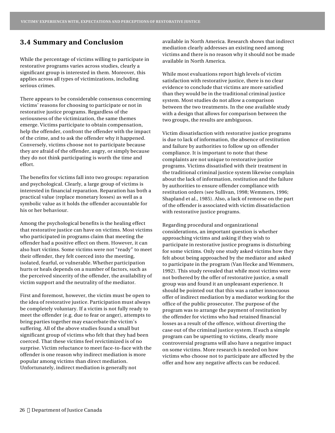## **3.4 Summary and Conclusion**

While the percentage of victims willing to participate in restorative programs varies across studies, clearly a significant group is interested in them. Moreover, this applies across all types of victimizations, including serious crimes.

There appears to be considerable consensus concerning victims' reasons for choosing to participate or not in restorative justice programs. Regardless of the seriousness of the victimization, the same themes emerge. Victims participate to obtain compensation, help the offender, confront the offender with the impact of the crime, and to ask the offender why it happened. Conversely, victims choose not to participate because they are afraid of the offender, angry, or simply because they do not think participating is worth the time and effort.

The benefits for victims fall into two groups: reparation and psychological. Clearly, a large group of victims is interested in financial reparation. Reparation has both a practical value (replace monetary losses) as well as a symbolic value as it holds the offender accountable for his or her behaviour.

Among the psychological benefits is the healing effect that restorative justice can have on victims. Most victims who participated in programs claim that meeting the offender had a positive effect on them. However, it can also hurt victims. Some victims were not "ready" to meet their offender, they felt coerced into the meeting, isolated, fearful, or vulnerable. Whether participation hurts or heals depends on a number of factors, such as the perceived sincerity of the offender, the availability of victim support and the neutrality of the mediator.

First and foremost, however, the victim must be open to the idea of restorative justice. Participation must always be completely voluntary. If a victim is not fully ready to meet the offender (e.g. due to fear or anger), attempts to bring parties together may exacerbate the victim's suffering. All of the above studies found a small but significant group of victims who felt that they had been coerced. That these victims feel revictimized is of no surprise. Victim reluctance to meet face-to-face with the offender is one reason why indirect mediation is more popular among victims than direct mediation. Unfortunately, indirect mediation is generally not

available in North America. Research shows that indirect mediation clearly addresses an existing need among victims and there is no reason why it should not be made available in North America.

While most evaluations report high levels of victim satisfaction with restorative justice, there is no clear evidence to conclude that victims are more satisfied than they would be in the traditional criminal justice system. Most studies do not allow a comparison between the two treatments. In the one available study with a design that allows for comparison between the two groups, the results are ambiguous.

Victim dissatisfaction with restorative justice programs is due to lack of information, the absence of restitution and failure by authorities to follow up on offender compliance. It is important to note that these complaints are not unique to restorative justice programs. Victims dissatisfied with their treatment in the traditional criminal justice system likewise complain about the lack of information, restitution and the failure by authorities to ensure offender compliance with restitution orders (see Sullivan, 1998; Wemmers, 1996; Shapland et al., 1985). Also, a lack of remorse on the part of the offender is associated with victim dissatisfaction with restorative justice programs.

Regarding procedural and organizational considerations, an important question is whether approaching victims and asking if they wish to participate in restorative justice programs is disturbing for some victims. Only one study asked victims how they felt about being approached by the mediator and asked to participate in the program (Van Hecke and Wemmers, 1992). This study revealed that while most victims were not bothered by the offer of restorative justice, a small group was and found it an unpleasant experience. It should be pointed out that this was a rather innocuous offer of indirect mediation by a mediator working for the office of the public prosecutor. The purpose of the program was to arrange the payment of restitution by the offender for victims who had retained financial losses as a result of the offence, without diverting the case out of the criminal justice system. If such a simple program can be upsetting to victims, clearly more controversial programs will also have a negative impact on some victims. More research is needed on how victims who choose not to participate are affected by the offer and how any negative affects can be reduced.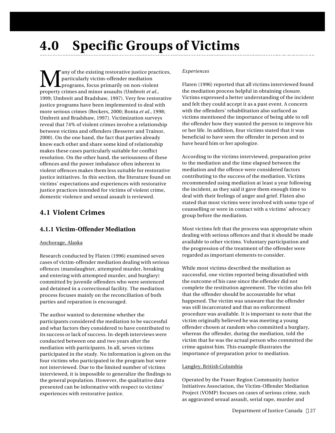# **4.0 Specific Groups of Victims**

M any of the existing restorative justice practices, particularly victim-offender mediation programs, focus primarily on non-violent property crimes and minor assaults (Umbreit *et al.*, 1999; Umbreit and Bradshaw, 1997). Very few restorative justice programs have been implemented to deal with more serious crimes (Beckers, 2000; Bonta *et al.*, 1998; Umbreit and Bradshaw, 1997). Victimization surveys reveal that 74% of violent crimes involve a relationship between victims and offenders (Besserer and Trainor, 2000). On the one hand, the fact that parties already know each other and share some kind of relationship makes these cases particularly suitable for conflict resolution. On the other hand, the seriousness of these offences and the power imbalance often inherent in violent offences makes them less suitable for restorative justice initiatives. In this section, the literature found on victims' expectations and experiences with restorative justice practices intended for victims of violent crime, domestic violence and sexual assault is reviewed.

## **4.1 Violent Crimes**

## **4.1.1 Victim-Offender Mediation**

## Anchorage, Alaska

Research conducted by Flaten (1996) examined seven cases of victim-offender mediation dealing with serious offences (manslaughter, attempted murder, breaking and entering with attempted murder, and burglary) committed by juvenile offenders who were sentenced and detained in a correctional facility. The mediation process focuses mainly on the reconciliation of both parties and reparation is encouraged.

The author wanted to determine whether the participants considered the mediation to be successful and what factors they considered to have contributed to its success or lack of success. In-depth interviews were conducted between one and two years after the mediation with participants. In all, seven victims participated in the study. No information is given on the four victims who participated in the program but were not interviewed. Due to the limited number of victims interviewed, it is impossible to generalize the findings to the general population. However, the qualitative data presented can be informative with respect to victims' experiences with restorative justice.

## *Experiences*

Flaten (1996) reported that all victims interviewed found the mediation process helpful in obtaining closure. Victims expressed a better understanding of the incident and felt they could accept it as a past event. A concern with the offenders' rehabilitation also surfaced as victims mentioned the importance of being able to tell the offender how they wanted the person to improve his or her life. In addition, four victims stated that it was beneficial to have seen the offender in person and to have heard him or her apologize.

According to the victims interviewed, preparation prior to the mediation and the time elapsed between the mediation and the offence were considered factors contributing to the success of the mediation. Victims recommended using mediation at least a year following the incident, as they said it gave them enough time to deal with their feelings of anger and grief. Flaten also stated that most victims were involved with some type of counselling or were in contact with a victims' advocacy group before the mediation.

Most victims felt that the process was appropriate when dealing with serious offences and that it should be made available to other victims. Voluntary participation and the progression of the treatment of the offender were regarded as important elements to consider.

While most victims described the mediation as successful, one victim reported being dissatisfied with the outcome of his case since the offender did not complete the restitution agreement. The victim also felt that the offender should be accountable for what happened. The victim was unaware that the offender was still incarcerated and that no enforcement procedure was available. It is important to note that the victim originally believed he was meeting a young offender chosen at random who committed a burglary, whereas the offender, during the mediation, told the victim that he was the actual person who committed the crime against him. This example illustrates the importance of preparation prior to mediation.

## Langley, British Columbia

Operated by the Fraser Region Community Justice Initiatives Association, the Victim-Offender Mediation Project (VOMP) focuses on cases of serious crime, such as aggravated sexual assault, serial rape, murder and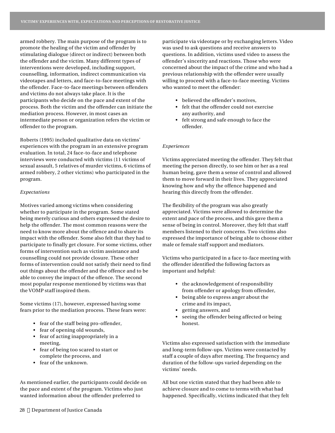armed robbery. The main purpose of the program is to promote the healing of the victim and offender by stimulating dialogue (direct or indirect) between both the offender and the victim. Many different types of interventions were developed, including support, counselling, information, indirect communication via videotapes and letters, and face-to-face meetings with the offender. Face-to-face meetings between offenders and victims do not always take place. It is the participants who decide on the pace and extent of the process. Both the victim and the offender can initiate the mediation process. However, in most cases an intermediate person or organization refers the victim or offender to the program.

Roberts (1995) included qualitative data on victims' experiences with the program in an extensive program evaluation. In total, 24 face-to-face and telephone interviews were conducted with victims (11 victims of sexual assault, 5 relatives of murder victims, 6 victims of armed robbery, 2 other victims) who participated in the program.

#### *Expectations*

Motives varied among victims when considering whether to participate in the program. Some stated being merely curious and others expressed the desire to help the offender. The most common reasons were the need to know more about the offence and to share its impact with the offender. Some also felt that they had to participate to finally get closure. For some victims, other forms of intervention such as victim assistance and counselling could not provide closure. These other forms of intervention could not satisfy their need to find out things about the offender and the offence and to be able to convey the impact of the offence. The second most popular response mentioned by victims was that the VOMP staff inspired them.

Some victims (17), however, expressed having some fears prior to the mediation process. These fears were:

- fear of the staff being pro-offender,
- fear of opening old wounds,
- fear of acting inappropriately in a meeting,
- fear of being too scared to start or complete the process, and
- fear of the unknown.

As mentioned earlier, the participants could decide on the pace and extent of the program. Victims who just wanted information about the offender preferred to

participate via videotape or by exchanging letters. Video was used to ask questions and receive answers to questions. In addition, victims used video to assess the offender's sincerity and reactions. Those who were concerned about the impact of the crime and who had a previous relationship with the offender were usually willing to proceed with a face-to-face meeting. Victims who wanted to meet the offender:

- believed the offender's motives,
- felt that the offender could not exercise any authority, and
- felt strong and safe enough to face the offender.

#### *Experiences*

Victims appreciated meeting the offender. They felt that meeting the person directly, to see him or her as a real human being, gave them a sense of control and allowed them to move forward in their lives. They appreciated knowing how and why the offence happened and hearing this directly from the offender.

The flexibility of the program was also greatly appreciated. Victims were allowed to determine the extent and pace of the process, and this gave them a sense of being in control. Moreover, they felt that staff members listened to their concerns. Two victims also expressed the importance of being able to choose either male or female staff support and mediators.

Victims who participated in a face to-face meeting with the offender identified the following factors as important and helpful:

- the acknowledgement of responsibility from offender or apology from offender,
- being able to express anger about the crime and its impact,
- getting answers, and
- seeing the offender being affected or being honest.

Victims also expressed satisfaction with the immediate and long-term follow-ups. Victims were contacted by staff a couple of days after meeting. The frequency and duration of the follow-ups varied depending on the victims' needs.

All but one victim stated that they had been able to achieve closure and to come to terms with what had happened. Specifically, victims indicated that they felt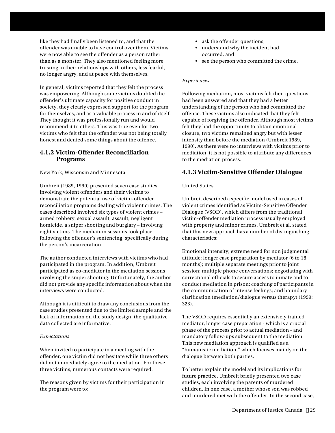like they had finally been listened to, and that the offender was unable to have control over them. Victims were now able to see the offender as a person rather than as a monster. They also mentioned feeling more trusting in their relationships with others, less fearful, no longer angry, and at peace with themselves.

In general, victims reported that they felt the process was empowering. Although some victims doubted the offender's ultimate capacity for positive conduct in society, they clearly expressed support for the program for themselves, and as a valuable process in and of itself. They thought it was professionally run and would recommend it to others. This was true even for two victims who felt that the offender was not being totally honest and denied some things about the offence.

## **4.1.2 Victim-Offender Reconciliation Programs**

## New York, Wisconsin and Minnesota

Umbreit (1989, 1990) presented seven case studies involving violent offenders and their victims to demonstrate the potential use of victim-offender reconciliation programs dealing with violent crimes. The cases described involved six types of violent crimes – armed robbery, sexual assault, assault, negligent homicide, a sniper shooting and burglary – involving eight victims. The mediation sessions took place following the offender's sentencing, specifically during the person's incarceration.

The author conducted interviews with victims who had participated in the program. In addition, Umbreit participated as co-mediator in the mediation sessions involving the sniper shooting. Unfortunately, the author did not provide any specific information about when the interviews were conducted.

Although it is difficult to draw any conclusions from the case studies presented due to the limited sample and the lack of information on the study design, the qualitative data collected are informative.

## *Expectations*

When invited to participate in a meeting with the offender, one victim did not hesitate while three others did not immediately agree to the mediation. For these three victims, numerous contacts were required.

The reasons given by victims for their participation in the program were to:

- ask the offender questions,
- understand why the incident had occurred, and
- see the person who committed the crime.

## *Experiences*

Following mediation, most victims felt their questions had been answered and that they had a better understanding of the person who had committed the offence. These victims also indicated that they felt capable of forgiving the offender. Although most victims felt they had the opportunity to obtain emotional closure, two victims remained angry but with lesser intensity than before the mediation (Umbreit 1989, 1990). As there were no interviews with victims prior to mediation, it is not possible to attribute any differences to the mediation process.

## **4.1.3 Victim-Sensitive Offender Dialogue**

## United States

Umbreit described a specific model used in cases of violent crimes identified as Victim-Sensitive Offender Dialogue (VSOD), which differs from the traditional victim-offender mediation process usually employed with property and minor crimes. Umbreit et al. stated that this new approach has a number of distinguishing characteristics:

Emotional intensity; extreme need for non judgmental attitude; longer case preparation by mediator (6 to 18 months); multiple separate meetings prior to joint session; multiple phone conversations; negotiating with correctional officials to secure access to inmate and to conduct mediation in prison; coaching of participants in the communication of intense feelings; and boundary clarification (mediation/dialogue versus therapy) (1999: 323).

The VSOD requires essentially an extensively trained mediator, longer case preparation - which is a crucial phase of the process prior to actual mediation - and mandatory follow-ups subsequent to the mediation. This new mediation approach is qualified as a "humanistic mediation," which focuses mainly on the dialogue between both parties.

To better explain the model and its implications for future practice, Umbreit briefly presented two case studies, each involving the parents of murdered children. In one case, a mother whose son was robbed and murdered met with the offender. In the second case,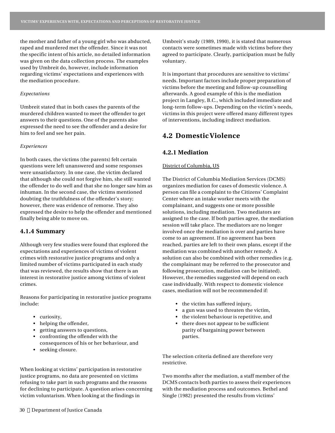the mother and father of a young girl who was abducted, raped and murdered met the offender. Since it was not the specific intent of his article, no detailed information was given on the data collection process. The examples used by Umbreit do, however, include information regarding victims' expectations and experiences with the mediation procedure.

#### *Expectations*

Umbreit stated that in both cases the parents of the murdered children wanted to meet the offender to get answers to their questions. One of the parents also expressed the need to see the offender and a desire for him to feel and see her pain.

#### *Experiences*

In both cases, the victims (the parents) felt certain questions were left unanswered and some responses were unsatisfactory. In one case, the victim declared that although she could not forgive him, she still wanted the offender to do well and that she no longer saw him as inhuman. In the second case, the victims mentioned doubting the truthfulness of the offender's story; however, there was evidence of remorse. They also expressed the desire to help the offender and mentioned finally being able to move on.

## **4.1.4 Summary**

Although very few studies were found that explored the expectations and experiences of victims of violent crimes with restorative justice programs and only a limited number of victims participated in each study that was reviewed, the results show that there is an interest in restorative justice among victims of violent crimes.

Reasons for participating in restorative justice programs include:

- curiosity,
- helping the offender,
- getting answers to questions,
- confronting the offender with the consequences of his or her behaviour, and
- seeking closure.

When looking at victims' participation in restorative justice programs, no data are presented on victims refusing to take part in such programs and the reasons for declining to participate. A question arises concerning victim voluntarism. When looking at the findings in

Umbreit's study (1989, 1990), it is stated that numerous contacts were sometimes made with victims before they agreed to participate. Clearly, participation must be fully voluntary.

It is important that procedures are sensitive to victims' needs. Important factors include proper preparation of victims before the meeting and follow-up counselling afterwards. A good example of this is the mediation project in Langley, B.C., which included immediate and long-term follow-ups. Depending on the victim's needs, victims in this project were offered many different types of interventions, including indirect mediation.

## **4.2 Domestic Violence**

## **4.2.1 Mediation**

### District of Columbia, US

The District of Columbia Mediation Services (DCMS) organizes mediation for cases of domestic violence. A person can file a complaint to the Citizens' Complaint Center where an intake worker meets with the complainant, and suggests one or more possible solutions, including mediation. Two mediators are assigned to the case. If both parties agree, the mediation session will take place. The mediators are no longer involved once the mediation is over and parties have come to an agreement. If no agreement has been reached, parties are left to their own plans, except if the mediation was combined with another remedy. A solution can also be combined with other remedies (e.g. the complainant may be referred to the prosecutor and following prosecution, mediation can be initiated). However, the remedies suggested will depend on each case individually. With respect to domestic violence cases, mediation will not be recommended if:

- the victim has suffered injury,
- a gun was used to threaten the victim,
- the violent behaviour is repetitive, and
- there does not appear to be sufficient parity of bargaining power between parties.

The selection criteria defined are therefore very restrictive.

Two months after the mediation, a staff member of the DCMS contacts both parties to assess their experiences with the mediation process and outcomes. Bethel and Single (1982) presented the results from victims'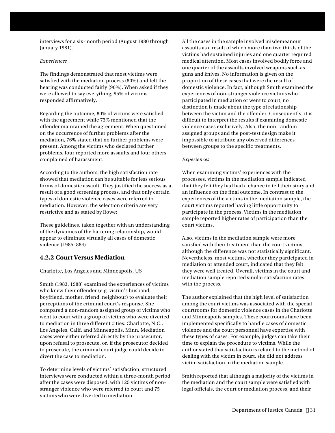interviews for a six-month period (August 1980 through January 1981).

### *Experiences*

The findings demonstrated that most victims were satisfied with the mediation process (80%) and felt the hearing was conducted fairly (90%). When asked if they were allowed to say everything, 95% of victims responded affirmatively.

Regarding the outcome, 80% of victims were satisfied with the agreement while 73% mentioned that the offender maintained the agreement. When questioned on the occurrence of further problems after the mediation, 76% stated that no further problems were present. Among the victims who declared further problems, four reported more assaults and four others complained of harassment.

According to the authors, the high satisfaction rate showed that mediation can be suitable for less serious forms of domestic assault. They justified the success as a result of a good screening process, and that only certain types of domestic violence cases were referred to mediation. However, the selection criteria are very restrictive and as stated by Rowe:

These guidelines, taken together with an understanding of the dynamics of the battering relationship, would appear to eliminate virtually all cases of domestic violence (1985: 884).

## **4.2.2 Court Versus Mediation**

## Charlotte, Los Angeles and Minneapolis, US

Smith (1983, 1988) examined the experiences of victims who knew their offender (e.g. victim's husband, boyfriend, mother, friend, neighbour) to evaluate their perceptions of the criminal court's response. She compared a non-random assigned group of victims who went to court with a group of victims who were diverted to mediation in three different cities: Charlotte, N.C., Los Angeles, Calif. and Minneapolis, Minn. Mediation cases were either referred directly by the prosecutor, upon refusal to prosecute, or, if the prosecutor decided to prosecute, the criminal court judge could decide to divert the case to mediation.

To determine levels of victims' satisfaction, structured interviews were conducted within a three-month period after the cases were disposed, with 125 victims of nonstranger violence who were referred to court and 75 victims who were diverted to mediation.

All the cases in the sample involved misdemeanour assaults as a result of which more than two thirds of the victims had sustained injuries and one quarter required medical attention. Most cases involved bodily force and one quarter of the assaults involved weapons such as guns and knives. No information is given on the proportion of these cases that were the result of domestic violence. In fact, although Smith examined the experiences of non-stranger violence victims who participated in mediation or went to court, no distinction is made about the type of relationship between the victim and the offender. Consequently, it is difficult to interpret the results if examining domestic violence cases exclusively. Also, the non-random assigned groups and the post-test design make it impossible to attribute any observed differences between groups to the specific treatments.

## *Experiences*

When examining victims' experiences with the processes, victims in the mediation sample indicated that they felt they had had a chance to tell their story and an influence on the final outcome. In contrast to the experiences of the victims in the mediation sample, the court victims reported having little opportunity to participate in the process. Victims in the mediation sample reported higher rates of participation than the court victims.

Also, victims in the mediation sample were more satisfied with their treatment than the court victims, although the difference was not statistically significant. Nevertheless, most victims, whether they participated in mediation or attended court, indicated that they felt they were well treated. Overall, victims in the court and mediation sample reported similar satisfaction rates with the process.

The author explained that the high level of satisfaction among the court victims was associated with the special courtrooms for domestic violence cases in the Charlotte and Minneapolis samples. These courtrooms have been implemented specifically to handle cases of domestic violence and the court personnel have expertise with these types of cases. For example, judges can take their time to explain the procedure to victims. While the author stated that satisfaction is related to the method of dealing with the victim in court, she did not address victim satisfaction in the mediation sample.

Smith reported that although a majority of the victims in the mediation and the court sample were satisfied with legal officials, the court or mediation process, and their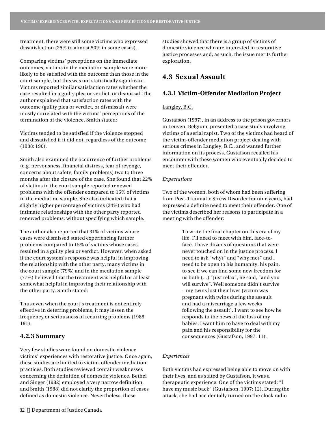treatment, there were still some victims who expressed dissatisfaction (25% to almost 50% in some cases).

Comparing victims' perceptions on the immediate outcomes, victims in the mediation sample were more likely to be satisfied with the outcome than those in the court sample, but this was not statistically significant. Victims reported similar satisfaction rates whether the case resulted in a guilty plea or verdict, or dismissal. The author explained that satisfaction rates with the outcome (guilty plea or verdict, or dismissal) were mostly correlated with the victims' perceptions of the termination of the violence. Smith stated:

Victims tended to be satisfied if the violence stopped and dissatisfied if it did not, regardless of the outcome (1988: 190).

Smith also examined the occurrence of further problems (e.g. nervousness, financial distress, fear of revenge, concerns about safety, family problems) two to three months after the closure of the case. She found that 22% of victims in the court sample reported renewed problems with the offender compared to 15% of victims in the mediation sample. She also indicated that a slightly higher percentage of victims (24%) who had intimate relationships with the other party reported renewed problems, without specifying which sample.

The author also reported that 31% of victims whose cases were dismissed stated experiencing further problems compared to 15% of victims whose cases resulted in a guilty plea or verdict. However, when asked if the court system's response was helpful in improving the relationship with the other party, many victims in the court sample (79%) and in the mediation sample (77%) believed that the treatment was helpful or at least somewhat helpful in improving their relationship with the other party. Smith stated:

Thus even when the court's treatment is not entirely effective in deterring problems, it may lessen the frequency or seriousness of recurring problems (1988: 191).

## **4.2.3 Summary**

Very few studies were found on domestic violence victims' experiences with restorative justice. Once again, these studies are limited to victim-offender mediation practices. Both studies reviewed contain weaknesses concerning the definition of domestic violence. Bethel and Singer (1982) employed a very narrow definition, and Smith (1988) did not clarify the proportion of cases defined as domestic violence. Nevertheless, these

studies showed that there is a group of victims of domestic violence who are interested in restorative justice processes and, as such, the issue merits further exploration.

## **4.3 Sexual Assault**

## **4.3.1 Victim-Offender Mediation Project**

## Langley, B.C.

Gustafson (1997), in an address to the prison governors in Leuven, Belgium, presented a case study involving victims of a serial rapist. Two of the victims had heard of the victim-offender mediation project dealing with serious crimes in Langley, B.C., and wanted further information on its process. Gustafson recalled his encounter with these women who eventually decided to meet their offender.

#### *Expectations*

Two of the women, both of whom had been suffering from Post-Traumatic Stress Disorder for nine years, had expressed a definite need to meet their offender. One of the victims described her reasons to participate in a meeting with the offender:

> To write the final chapter on this era of my life, I'll need to meet with him, face-toface. I have dozens of questions that were never touched on in the justice process. I need to ask "why?" and "why me?" and I need to be open to his humanity, his pain, to see if we can find some new freedom for us both (…) "Just relax", he said, "and you will survive". Well someone didn't survive – my twins lost their lives [victim was pregnant with twins during the assault and had a miscarriage a few weeks following the assault]. I want to see how he responds to the news of the loss of my babies. I want him to have to deal with my pain and his responsibility for the consequences (Gustafson, 1997: 11).

#### *Experiences*

Both victims had expressed being able to move on with their lives, and as stated by Gustafson, it was a therapeutic experience. One of the victims stated: "I have my music back" (Gustafson, 1997: 12). During the attack, she had accidentally turned on the clock radio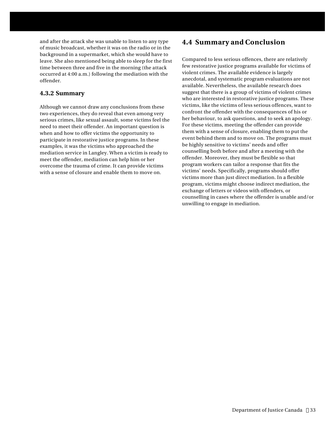and after the attack she was unable to listen to any type of music broadcast, whether it was on the radio or in the background in a supermarket, which she would have to leave. She also mentioned being able to sleep for the first time between three and five in the morning (the attack occurred at 4:00 a.m.) following the mediation with the offender.

## **4.3.2 Summary**

Although we cannot draw any conclusions from these two experiences, they do reveal that even among very serious crimes, like sexual assault, some victims feel the need to meet their offender. An important question is when and how to offer victims the opportunity to participate in restorative justice programs. In these examples, it was the victims who approached the mediation service in Langley. When a victim is ready to meet the offender, mediation can help him or her overcome the trauma of crime. It can provide victims with a sense of closure and enable them to move on.

## **4.4 Summary and Conclusion**

Compared to less serious offences, there are relatively few restorative justice programs available for victims of violent crimes. The available evidence is largely anecdotal, and systematic program evaluations are not available. Nevertheless, the available research does suggest that there is a group of victims of violent crimes who are interested in restorative justice programs. These victims, like the victims of less serious offences, want to confront the offender with the consequences of his or her behaviour, to ask questions, and to seek an apology. For these victims, meeting the offender can provide them with a sense of closure, enabling them to put the event behind them and to move on. The programs must be highly sensitive to victims' needs and offer counselling both before and after a meeting with the offender. Moreover, they must be flexible so that program workers can tailor a response that fits the victims' needs. Specifically, programs should offer victims more than just direct mediation. In a flexible program, victims might choose indirect mediation, the exchange of letters or videos with offenders, or counselling in cases where the offender is unable and/or unwilling to engage in mediation.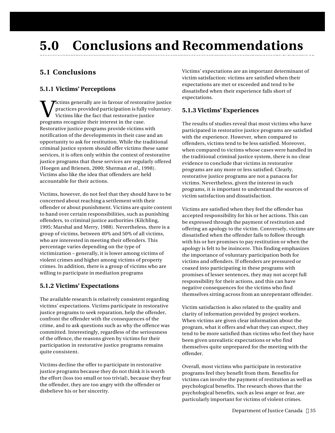# **5.0 Conclusions and Recommendations**

## **5.1 Conclusions**

## **5.1.1 Victims' Perceptions**

**W** practices provided participation is fully victims like the fact that restorative just programs recognize their interest in the case. **Tictims generally are in favour of restorative justice** practices provided participation is fully voluntary. Victims like the fact that restorative justice Restorative justice programs provide victims with notification of the developments in their case and an opportunity to ask for restitution. While the traditional criminal justice system should offer victims these same services, it is often only within the context of restorative justice programs that these services are regularly offered (Hoegen and Brienen, 2000; Sherman *et al.*, 1998). Victims also like the idea that offenders are held accountable for their actions.

Victims, however, do not feel that they should have to be concerned about reaching a settlement with their offender or about punishment. Victims are quite content to hand over certain responsibilities, such as punishing offenders, to criminal justice authorities (Kilchling, 1995; Marshal and Merry, 1988). Nevertheless, there is a group of victims, between 40% and 50% of all victims, who are interested in meeting their offenders. This percentage varies depending on the type of victimization – generally, it is lower among victims of violent crimes and higher among victims of property crimes. In addition, there is a group of victims who are willing to participate in mediation programs

## **5.1.2 Victims' Expectations**

The available research is relatively consistent regarding victims' expectations. Victims participate in restorative justice programs to seek reparation, help the offender, confront the offender with the consequences of the crime, and to ask questions such as why the offence was committed. Interestingly, regardless of the seriousness of the offence, the reasons given by victims for their participation in restorative justice programs remains quite consistent.

Victims decline the offer to participate in restorative justice programs because they do not think it is worth the effort (loss too small or too trivial), because they fear the offender, they are too angry with the offender or disbelieve his or her sincerity.

Victims' expectations are an important determinant of victim satisfaction: victims are satisfied when their expectations are met or exceeded and tend to be dissatisfied when their experience falls short of expectations.

## **5.1.3 Victims' Experiences**

The results of studies reveal that most victims who have participated in restorative justice programs are satisfied with the experience. However, when compared to offenders, victims tend to be less satisfied. Moreover, when compared to victims whose cases were handled in the traditional criminal justice system, there is no clear evidence to conclude that victims in restorative programs are any more or less satisfied. Clearly, restorative justice programs are not a panacea for victims. Nevertheless, given the interest in such programs, it is important to understand the sources of victim satisfaction and dissatisfaction.

Victims are satisfied when they feel the offender has accepted responsibility for his or her actions. This can be expressed through the payment of restitution and offering an apology to the victim. Conversely, victims are dissatisfied when the offender fails to follow through with his or her promises to pay restitution or when the apology is felt to be insincere. This finding emphasizes the importance of voluntary participation both for victims and offenders. If offenders are pressured or coaxed into participating in these programs with promises of lesser sentences, they may not accept full responsibility for their actions, and this can have negative consequences for the victims who find themselves sitting across from an unrepentant offender.

Victim satisfaction is also related to the quality and clarity of information provided by project workers. When victims are given clear information about the program, what it offers and what they can expect, they tend to be more satisfied than victims who feel they have been given unrealistic expectations or who find themselves quite unprepared for the meeting with the offender.

Overall, most victims who participate in restorative programs feel they benefit from them. Benefits for victims can involve the payment of restitution as well as psychological benefits. The research shows that the psychological benefits, such as less anger or fear, are particularly important for victims of violent crimes.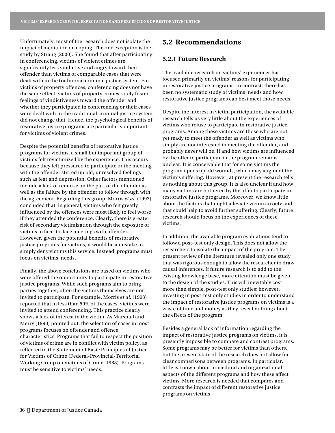Unfortunately, most of the research does not isolate the impact of mediation on coping. The one exception is the study by Strang (2000). She found that after participating in conferencing, victims of violent crimes are significantly less vindictive and angry toward their offender than victims of comparable cases that were dealt with in the traditional criminal justice system. For victims of property offences, conferencing does not have the same effect; victims of property crimes rarely foster feelings of vindictiveness toward the offender and whether they participated in conferencing or their cases were dealt with in the traditional criminal justice system did not change that. Hence, the psychological benefits of restorative justice programs are particularly important for victims of violent crimes.

Despite the potential benefits of restorative justice programs for victims, a small but important group of victims felt revictimized by the experience. This occurs because they felt pressured to participate or the meeting with the offender stirred up old, unresolved feelings such as fear and depression. Other factors mentioned include a lack of remorse on the part of the offender as well as the failure by the offender to follow through with the agreement. Regarding this group, Morris *et al.* (1993) concluded that, in general, victims who felt greatly influenced by the offences were most likely to feel worse if they attended the conference. Clearly, there is greater risk of secondary victimization through the exposure of victims in face-to-face meetings with offenders. However, given the potential benefits of restorative justice programs for victims, it would be a mistake to simply deny victims this service. Instead, programs must focus on victims' needs.

Finally, the above conclusions are based on victims who were offered the opportunity to participate in restorative justice programs. While such programs aim to bring parties together, often the victims themselves are not invited to participate. For example, Morris *et al.* (1993) reported that in less than 50% of the cases, victims were invited to attend conferencing. This practice clearly shows a lack of interest in the victim. As Marshall and Merry (1990) pointed out, the selection of cases in most programs focuses on offender and offence characteristics. Programs that fail to respect the position of victims of crime are in conflict with victim policy, as reflected in the Statement of Basic Principles of Justice for Victims of Crime (Federal-Provincial-Territorial Working Group on Victims of Crime, 1988). Programs must be sensitive to victims' needs.

## **5.2 Recommendations**

## **5.2.1 Future Research**

The available research on victims' experiences has focused primarily on victims' reasons for participating in restorative justice programs. In contrast, there has been no systematic study of victims' needs and how restorative justice programs can best meet those needs.

Despite the interest in victim participation, the available research tells us very little about the experiences of victims who refuse to participate in restorative justice programs. Among these victims are those who are not yet ready to meet the offender as well as victims who simply are not interested in meeting the offender, and probably never will be. If and how victims are influenced by the offer to participate in the program remains unclear. It is conceivable that for some victims the program opens up old wounds, which may augment the victim's suffering. However, at present the research tells us nothing about this group. It is also unclear if and how many victims are bothered by the offer to participate in restorative justice programs. Moreover, we know little about the factors that might alleviate victim anxiety and that could help to avoid further suffering. Clearly, future research should focus on the experiences of these victims.

In addition, the available program evaluations tend to follow a post-test only design. This does not allow the researchers to isolate the impact of the program. The present review of the literature revealed only one study that was rigorous enough to allow the researcher to draw causal inferences. If future research is to add to the existing knowledge base, more attention must be given to the design of the studies. This will inevitably cost more than simple, post-test only studies; however, investing in post-test only studies in order to understand the impact of restorative justice programs on victims is a waste of time and money as they reveal nothing about the effects of the program.

Besides a general lack of information regarding the impact of restorative justice programs on victims, it is presently impossible to compare and contrast programs. Some programs may be better for victims than others, but the present state of the research does not allow for clear comparisons between programs. In particular, little is known about procedural and organizational aspects of the different programs and how these affect victims. More research is needed that compares and contrasts the impact of different restorative justice programs on victims.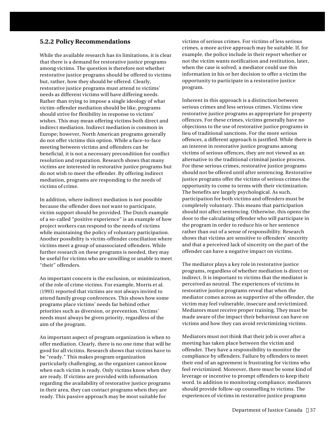## **5.2.2 Policy Recommendations**

While the available research has its limitations, it is clear that there is a demand for restorative justice programs among victims. The question is therefore not whether restorative justice programs should be offered to victims but, rather, how they should be offered. Clearly, restorative justice programs must attend to victims' needs as different victims will have differing needs. Rather than trying to impose a single ideology of what victim-offender mediation should be like, programs should strive for flexibility in response to victims' wishes. This may mean offering victims both direct and indirect mediation. Indirect mediation is common in Europe; however, North American programs generally do not offer victims this option. While a face-to-face meeting between victims and offenders can be beneficial, it is not a necessary precondition for conflict resolution and reparation. Research shows that many victims are interested in restorative justice programs but do not wish to meet the offender. By offering indirect mediation, programs are responding to the needs of victims of crime.

In addition, where indirect mediation is not possible because the offender does not want to participate, victim support should be provided. The Dutch example of a so-called "positive experience" is an example of how project workers can respond to the needs of victims while maintaining the policy of voluntary participation. Another possibility is victim-offender conciliation where victims meet a group of unassociated offenders. While further research on these programs is needed, they may be useful for victims who are unwilling or unable to meet "their" offenders.

An important concern is the exclusion, or minimization, of the role of crime victims. For example, Morris et al. (1993) reported that victims are not always invited to attend family group conferences. This shows how some programs place victims' needs far behind other priorities such as diversion, or prevention. Victims' needs must always be given priority, regardless of the aim of the program.

An important aspect of program organization is when to offer mediation. Clearly, there is no one time that will be good for all victims. Research shows that victims have to be "ready." This makes program organization particularly challenging, as the organizer cannot know when each victim is ready. Only victims know when they are ready. If victims are provided with information regarding the availability of restorative justice programs in their area, they can contact programs when they are ready. This passive approach may be most suitable for

victims of serious crimes. For victims of less serious crimes, a more active approach may be suitable. If, for example, the police include in their report whether or not the victim wants notification and restitution, later, when the case is solved, a mediator could use this information in his or her decision to offer a victim the opportunity to participate in a restorative justice program.

Inherent in this approach is a distinction between serious crimes and less serious crimes. Victims view restorative justice programs as appropriate for property offences. For these crimes, victims generally have no objections to the use of restorative justice programs in lieu of traditional sanctions. For the more serious offences, a different approach is justified. While there is an interest in restorative justice programs among victims of serious offences, they are not viewed as an alternative to the traditional criminal justice process. For these serious crimes, restorative justice programs should not be offered until after sentencing. Restorative justice programs offer the victims of serious crimes the opportunity to come to terms with their victimization. The benefits are largely psychological. As such, participation for both victims and offenders must be completely voluntary. This means that participation should not affect sentencing. Otherwise, this opens the door to the calculating offender who will participate in the program in order to reduce his or her sentence rather than out of a sense of responsibility. Research shows that victims are sensitive to offenders' sincerity and that a perceived lack of sincerity on the part of the offender can have a negative impact on victims.

The mediator plays a key role in restorative justice programs, regardless of whether mediation is direct or indirect. It is important to victims that the mediator is perceived as neutral. The experiences of victims in restorative justice programs reveal that when the mediator comes across as supportive of the offender, the victim may feel vulnerable, insecure and revictimized. Mediators must receive proper training. They must be made aware of the impact their behaviour can have on victims and how they can avoid revictimizing victims.

Mediators must not think that their job is over after a meeting has taken place between the victim and offender. They have a responsibility to monitor the compliance by offenders. Failure by offenders to meet their end of an agreement is frustrating for victims who feel revictimized. Moreover, there must be some kind of leverage or incentive to prompt offenders to keep their word. In addition to monitoring compliance, mediators should provide follow-up counselling to victims. The experiences of victims in restorative justice programs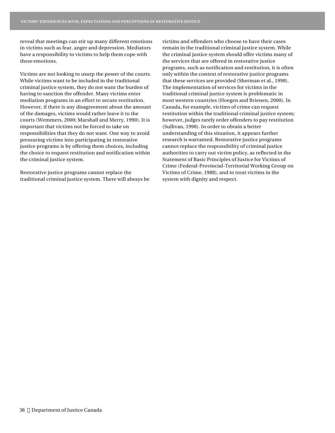reveal that meetings can stir up many different emotions in victims such as fear, anger and depression. Mediators have a responsibility to victims to help them cope with these emotions.

Victims are not looking to usurp the power of the courts. While victims want to be included in the traditional criminal justice system, they do not want the burden of having to sanction the offender. Many victims enter mediation programs in an effort to secure restitution. However, if there is any disagreement about the amount of the damages, victims would rather leave it to the courts (Wemmers, 2000; Marshall and Merry, 1990). It is important that victims not be forced to take on responsibilities that they do not want. One way to avoid pressuring victims into participating in restorative justice programs is by offering them choices, including the choice to request restitution and notification within the criminal justice system.

Restorative justice programs cannot replace the traditional criminal justice system. There will always be victims and offenders who choose to have their cases remain in the traditional criminal justice system. While the criminal justice system should offer victims many of the services that are offered in restorative justice programs, such as notification and restitution, it is often only within the context of restorative justice programs that these services are provided (Sherman et al., 1998). The implementation of services for victims in the traditional criminal justice system is problematic in most western countries (Hoegen and Brienen, 2000). In Canada, for example, victims of crime can request restitution within the traditional criminal justice system; however, judges rarely order offenders to pay restitution (Sullivan, 1998). In order to obtain a better understanding of this situation, it appears further research is warranted. Restorative justice programs cannot replace the responsibility of criminal justice authorities to carry out victim policy, as reflected in the Statement of Basic Principles of Justice for Victims of Crime (Federal-Provincial-Territorial Working Group on Victims of Crime, 1988), and to treat victims in the system with dignity and respect.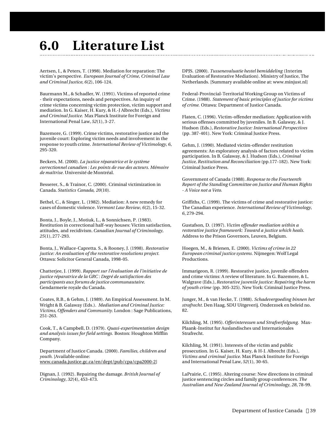## **6.0 Literature List**

Aertsen, I., & Peters, T. (1998). Mediation for reparation: The victim's perspective. *European Journal of Crime, Criminal Law and Criminal Justice, 6*(2), 106-124.

Baurmann M., & Schadler, W. (1991). Victims of reported crime - their expectations, needs and perspectives. An inquiry of crime victims concerning victim protection, victim support and mediation. In G. Kaiser, H. Kury, & H.-J Albrecht (Eds.), *Victims and Criminal Justice.* Max Planck Institute for Foreign and International Penal Law, *52*(1), 3-27.

Bazemore, G. (1999). Crime victims, restorative justice and the juvenile court: Exploring victim needs and involvement in the response to youth crime. *International Review of Victimology, 6*, 295-320.

Beckers, M. (2000). *La justice réparatrice et le système correctionnel canadien : Les points de vue des acteurs. Mémoire de maîtrise.* Université de Montréal.

Besserer, S., & Trainor, C. (2000). Criminal victimization in Canada. *Statistics Canada, 20*(10).

Bethel, C., & Singer, L. (1982). Mediation: A new remedy for cases of domestic violence. *Vermont Law Review, 6*(2), 15-32.

Bonta, J., Boyle, J., Motiuk, L., & Sonnichsen, P. (1983). Restitution in correctional half-way houses: Victim satisfaction, attitudes, and recidivism. *Canadian Journal of Criminology, 25*(1), 277-293.

Bonta, J., Wallace-Capretta. S., & Rooney, J. (1998). *Restorative justice: An evaluation of the restorative resolutions project.* Ottawa: Solicitor General Canada, 1998-05.

Chatterjee, J. (1999). *Rapport sur l'évaluation de l'initiative de justice réparatrice de la GRC : Degré de satisfaction des participants aux forums de justice communautaire.* Gendarmerie royale du Canada.

Coates, R.B., & Gehm, J. (1989). An Empirical Assessment. In M. Wright & B. Galaway (Eds.). *Mediation and Criminal Justice: Victims, Offenders and Community.* London : Sage Publications, 251-263.

Cook, T., & Campbell, D. (1979). *Quasi-experimentation design and analysis issues for field settings.* Boston: Houghton Mifflin Company.

Department of Justice Canada. (2000). *Families, children and youth.* [Available online: www.canada.justice.gc.ca/en/dept/pub/cpa/cpa2000-2]

Dignan, J. (1992). Repairing the damage. *British Journal of Criminology, 32*(4), 453-473.

DPJS. (2000). *Tussenevaluatie hestel bemiddeling* (Interim Evaluation of Restorative Mediation). Ministry of Justice, The Netherlands. [Summary available online at: www.minjust.nl]

Federal-Provincial-Territorial Working Group on Victims of Crime. (1988). *Statement of basic principles of justice for victims of crime.* Ottawa: Department of Justice Canada.

Flaten, C. (1996). Victim-offender mediation: Application with serious offenses committed by juveniles. In B. Galaway, & J. Hudson (Eds.), *Restorative Justice: International Perspectives* (pp. 387-401). New York: Criminal Justice Press.

Gehm, J. (1990). Mediated victim-offender restitution agreements: An exploratory analysis of factors related to victim participation. In B. Galaway, & J. Hudson (Eds.), *Criminal Justice, Restitution and Reconciliation* (pp.177-182). New York: Criminal Justice Press.

Government of Canada (1988). *Response to the Fourteenth Report of the Standing Committee on Justice and Human Rights - A Voice not a Veto.*

Griffiths, C. (1999). The victims of crime and restorative justice: The Canadian experience. *International Review of Victimology, 6*, 279-294.

Gustafson, D. (1997). *Victim offender mediation within a restorative justice framework: Toward a justice which heals.* Address to the Prison Governors, Leuven, Belgium.

Hoegen, M., & Brienen, E. (2000). *Victims of crime in 22 European criminal justice systems.* Nijmegen: Wolf Legal Productions.

Immarigeon, R. (1999). Restorative justice, juvenile offenders and crime victims: A review of literature. In G. Bazemore, & L. Walgrave (Eds.), *Restorative juvenile justice: Repairing the harm of youth crime* (pp. 305-325). New York: Criminal Justice Press.

Junger, M., & van Hecke, T. (1988). *Schadevergoeding binnen het strafrecht.* Den Haag, SDU Uitgeverij. Onderzoek en beleid no. 82.

Kilchling, M. (1995). *Offerinteressen und Strafverfolgung.* Max-Plaank-Institut fur Auslandisches und Internationales Strafrecht.

Kilchling, M. (1991). Interests of the victim and public prosecution. In G. Kaiser, H. Kury, & H-J. Albrecht (Eds.), *Victims and criminal justice.* Max Planck Institute for Foreign and International Penal Law, *52*(1), 30-65.

LaPrairie, C. (1995). Altering course: New directions in criminal justice sentencing circles and family group conferences. *The Australian and New Zealand Journal of Criminology, 28*, 78-99.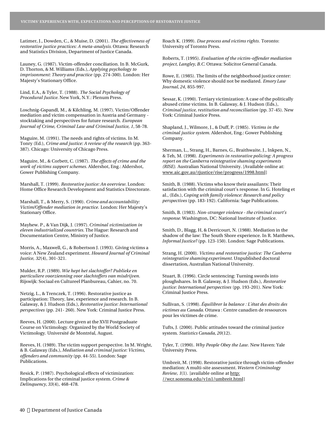Latimer, J., Dowden, C., & Muise, D. (2001). *The effectiveness of restorative justice practices: A meta-analysis.* Ottawa: Research and Statistics Division, Department of Justice Canada.

Launey, G. (1987). Victim-offender conciliation. In B. McGurk, D. Thorton, & M. Williams (Eds.), *Applying psychology to imprisonment: Theory and practice* (pp. 274-300). London: Her Majesty's Stationary Office.

Lind, E.A., & Tyler, T. (1988). *The Social Psychology of Procedural Justice*. New York, N.Y.: Plenum Press.

Loschnig-Gspandl, M., & Kilchling, M. (1997). Victim/Offender mediation and victim compensation in Austria and Germany stocktaking and perspectives for future research. *European Journal of Crime, Criminal Law and Criminal Justice, 1*, 58-78.

Maguire, M. (1991). The needs and rights of victims. In M. Tonry (Ed.), *Crime and justice: A review of the research* (pp. 363- 387). Chicago: University of Chicago Press.

Maguire, M., & Corbett, C. (1987). *The effects of crime and the work of victims support schemes.* Aldershot, Eng.: Aldershot, Gower Publishing Company.

Marshall, T. (1999). *Restorative justice: An overview.* London: Home Office Research Development and Statistics Directorate.

Marshall, T., & Merry, S. (1990). *Crime and accountability: Victim/Offender mediation in practice.* London: Her Majesty's Stationary Office.

Mayhew. P., & Van Dijk, J. (1997). *Criminal victimization in eleven industrialized countries.* The Hague: Research and Documentation Centre, Ministry of Justice.

Morris, A., Maxwell, G., & Robertson J. (1993). Giving victims a voice: A New Zealand experiment. *Howard Journal of Criminal Justice, 32*(4), 301-321.

Mulder, R.P. (1989). *Wie hept het slachtoffer? Publieke en particuliere voorzienning voor slachtoffers van misdrijven.* Rijswijk: Sociaal en Cultureel Planbureau, Cahier, no. 70.

Netzig, L., & Trenczek, T. (1996). Restorative justice as participation: Theory, law, experience and research. In B. Galaway, & J. Hudson (Eds.), *Restorative justice: International perspectives* (pp. 241- 260). New York: Criminal Justice Press.

Reeves, H. (2000). Lecture given at the XVII Postgraduate Course on Victimology. Organized by the World Society of Victimology. Université de Montréal, August.

Reeves, H. (1989). The victim support perspective. In M. Wright, & B. Galaway (Eds.), *Mediation and criminal justice: Victims, offenders and community* (pp. 44-55). London: Sage Publications.

Resick, P. (1987). Psychological effects of victimization: Implications for the criminal justice system. *Crime & Delinquency, 33*(4), 468-478.

Roach K. (1999). *Due process and victims rights.* Toronto: University of Toronto Press.

Roberts, T. (1995). *Evaluation of the victim-offender mediation project, Langley, B.C.* Ottawa: Solicitor General Canada.

Rowe, E. (1985). The limits of the neighborhood justice center: Why domestic violence should not be mediated. *Emory Law Journal, 24*, 855-997.

Sessar, K. (1990). Tertiary victimization: A case of the politically abused crime victims. In B. Galaway, & J. Hudson (Eds.), *Criminal justice, restitution and reconciliation* (pp. 37-45). New York: Criminal Justice Press.

Shapland, J., Wilmore, J., & Duff, P. (1985). *Victims in the criminal justice system.* Aldershot, Eng.: Gower Publishing Company.

Sherman, L., Strang, H., Barnes, G., Braithwaite, J., Inkpen, N., & Teh, M. (1998). *Experiments in restorative policing: A progress report on the Canberra reintegrative shaming experiments (RISE).* Australian National University. [Available online at: www.aic.gov.au/rjustice/rise/progress/1998.html]

Smith, B. (1988). Victims who know their assailants: Their satisfaction with the criminal court's response. In G. Hoteling et al., (Eds.), *Coping with family violence: Research and policy perspectives* (pp. 183-192). California: Sage Publications.

Smith, B. (1983). *Non-stranger violence - the criminal court's response.* Washington, DC: National Institute of Justice.

Smith, D., Blagg, H, & Derricourt, N. (1988). Mediation in the shadow of the law: The South Shore experience. In R. Matthews, *Informal Justice?* (pp. 123-150). London: Sage Publications.

Strang, H. (2000). *Victims and restorative justice: The Canberra reintegrative shaming experiment.* Unpublished doctoral dissertation, Australian National University.

Stuart, B. (1996). Circle sentencing: Turning swords into ploughshares. In B. Galaway, & J. Hudson (Eds.), *Restorative justice: International perspectives* (pp. 193-201). New York: Criminal Justice Press.

Sullivan, S. (1998). *Équilibrer la balance : L'état des droits des victimes au Canada.* Ottawa : Centre canadien de ressources pour les victimes de crime.

Tufts, J. (2000). Public attitudes toward the criminal justice system. *Statistics Canada, 20*(12).

Tyler, T. (1990). *Why People Obey the Law.* New Haven: Yale University Press.

Umbreit, M. (1998). Restorative justice through victim-offender mediation: A multi-site assessment. *Western Criminology Review, 1*(1). [available online at http: //wcr.sonoma.edu/v1n1/umbreit.html]